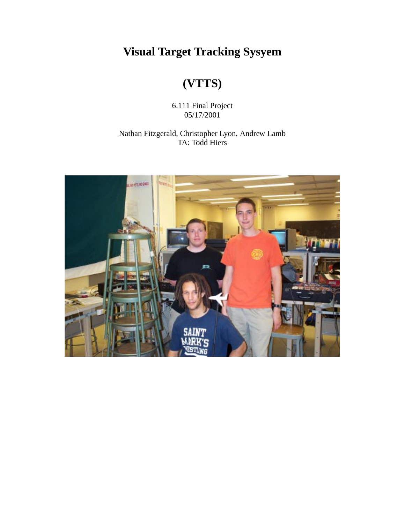**Visual Target Tracking Sysyem**

# **(VTTS)**

6.111 Final Project 05/17/2001

#### Nathan Fitzgerald, Christopher Lyon, Andrew Lamb TA: Todd Hiers

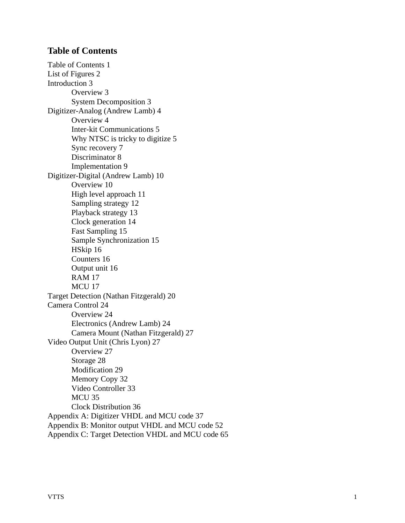# <span id="page-1-0"></span>**Table of Contents**

[Table of Contents 1](#page-1-0) [List of Figures 2](#page-2-0) [Introduction 3](#page-3-0) [Overview 3](#page-3-1) [System Decomposition 3](#page-3-2) [Digitizer-Analog \(Andrew Lamb\) 4](#page-4-0) [Overview 4](#page-4-1) [Inter-kit Communications 5](#page-5-0) [Why NTSC is tricky to digitize 5](#page-5-1) [Sync recovery 7](#page-7-0) [Discriminator 8](#page-8-0) [Implementation 9](#page-9-0) [Digitizer-Digital \(Andrew Lamb\) 10](#page-11-0) [Overview 10](#page-11-1) [High level approach 11](#page-12-0) [Sampling strategy 12](#page-12-1) [Playback strategy 13](#page-14-0) [Clock generation 14](#page-14-1) [Fast Sampling 15](#page-15-0) [Sample Synchronization 15](#page-16-0) [HSkip 16](#page-16-1) [Counters 16](#page-16-2) [Output unit 16](#page-17-0) [RAM 17](#page-17-1) MCU 17 [Target Detection \(Nathan Fitzgerald\) 20](#page-21-0) [Camera Control 24](#page-24-0) [Overview 24](#page-24-1) [Electronics \(Andrew Lamb\) 24](#page-24-2) [Camera Mount \(Nathan Fitzgerald\) 27](#page-27-0) [Video Output Unit \(Chris Lyon\) 27](#page-27-1) [Overview 27](#page-27-2) [Storage 28](#page-28-0) [Modification 29](#page-29-0) [Memory Copy 32](#page-32-0) [Video Controller 33](#page-33-0) MCU<sub>35</sub> [Clock Distribution 36](#page-36-0) [Appendix A: Digitizer VHDL and MCU code 37](#page-37-0) Appendix B: Monitor output VHDL and MCU code 52 [Appendix C: Target Detection VHDL and MCU code 65](#page-52-0)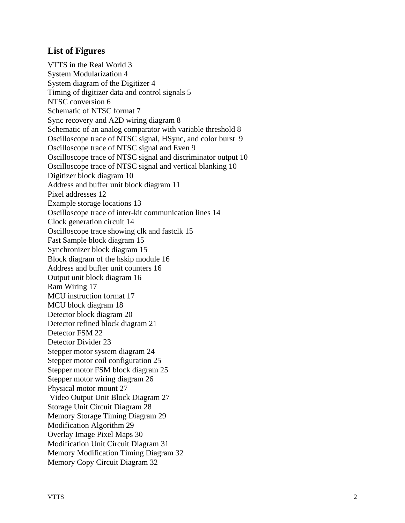# <span id="page-2-0"></span>**List of Figures**

VTTS in the Real World 3 [System Modularization 4](#page-4-2) [System diagram of the Digitizer 4](#page-4-3) [Timing of digitizer data and control signals 5](#page-5-2) [NTSC conversion 6](#page-6-0) [Schematic of NTSC format 7](#page-7-1) [Sync recovery and A2D wiring diagram 8](#page-8-1) Schematic of an analog comparator with variable threshold 8 [Oscilloscope trace of NTSC signal, HSync, and color burst 9](#page-9-1) [Oscilloscope trace of NTSC signal and Even 9](#page-10-0) [Oscilloscope trace of NTSC signal and discriminator output 10](#page-10-1) [Oscilloscope trace of NTSC signal and vertical blanking 10](#page-10-2) [Digitizer block diagram 10](#page-11-2) [Address and buffer unit block diagram 11](#page-12-2) [Pixel addresses 12](#page-13-0) [Example storage locations 13](#page-13-1) [Oscilloscope trace of inter-kit communication lines 14](#page-14-2) [Clock generation circuit 14](#page-15-1) [Oscilloscope trace showing clk and fastclk 15](#page-15-2) [Fast Sample block diagram 15](#page-15-3) [Synchronizer block diagram 15](#page-16-3) [Block diagram of the hskip module 16](#page-16-4) [Address and buffer unit counters 16](#page-16-5) [Output unit block diagram 16](#page-17-2) Ram Wiring 17 [MCU instruction format 17](#page-18-0) MCU block diagram 18 [Detector block diagram 20](#page-21-1) [Detector refined block diagram 21](#page-22-0) [Detector FSM 22](#page-22-1) [Detector Divider 23](#page-23-0) [Stepper motor system diagram 24](#page-24-3) [Stepper motor coil configuration 25](#page-25-0) Stepper motor FSM block diagram 25 [Stepper motor wiring diagram 26](#page-26-0) [Physical motor mount 27](#page-27-3)  [Video Output Unit Block Diagram 27](#page-27-4) [Storage Unit Circuit Diagram 28](#page-28-1) [Memory Storage Timing Diagram 29](#page-29-1) [Modification Algorithm 29](#page-29-2) [Overlay Image Pixel Maps 30](#page-30-0) [Modification Unit Circuit Diagram 31](#page-31-0) [Memory Modification Timing Diagram 32](#page-32-1) [Memory Copy Circuit Diagram 32](#page-32-2)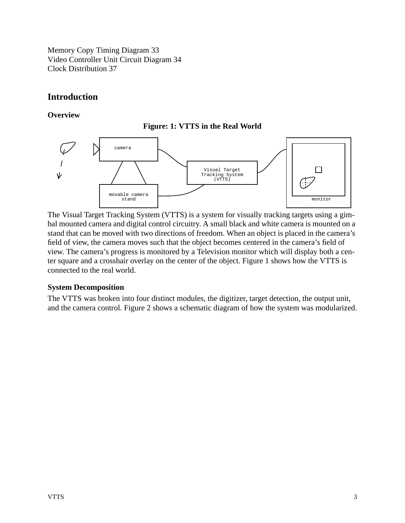[Memory Copy Timing Diagram 33](#page-33-1) [Video Controller Unit Circuit Diagram 34](#page-34-0) [Clock Distribution 37](#page-37-1)

# <span id="page-3-0"></span>**Introduction**

#### <span id="page-3-1"></span>**Overview**





The Visual Target Tracking System (VTTS) is a system for visually tracking targets using a gimbal mounted camera and digital control circuitry. A small black and white camera is mounted on a stand that can be moved with two directions of freedom. When an object is placed in the camera's field of view, the camera moves such that the object becomes centered in the camera's field of view. The camera's progress is monitored by a Television monitor which will display both a center square and a crosshair overlay on the center of the object. Figure 1 shows how the VTTS is connected to the real world.

#### <span id="page-3-2"></span>**System Decomposition**

The VTTS was broken into four distinct modules, the digitizer, target detection, the output unit, and the camera control. Figure 2 shows a schematic diagram of how the system was modularized.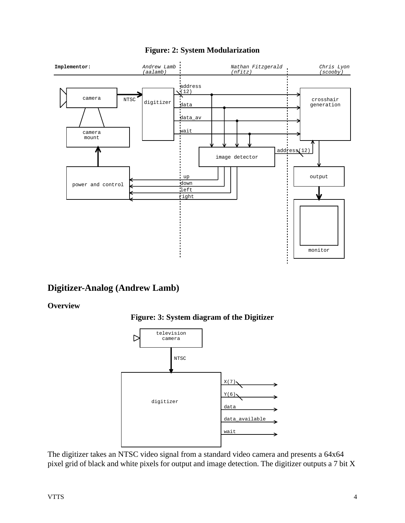<span id="page-4-2"></span>

# **Figure: 2: System Modularization**

# <span id="page-4-0"></span>**Digitizer-Analog (Andrew Lamb)**

#### <span id="page-4-3"></span><span id="page-4-1"></span>**Overview**





The digitizer takes an NTSC video signal from a standard video camera and presents a 64x64 pixel grid of black and white pixels for output and image detection. The digitizer outputs a 7 bit X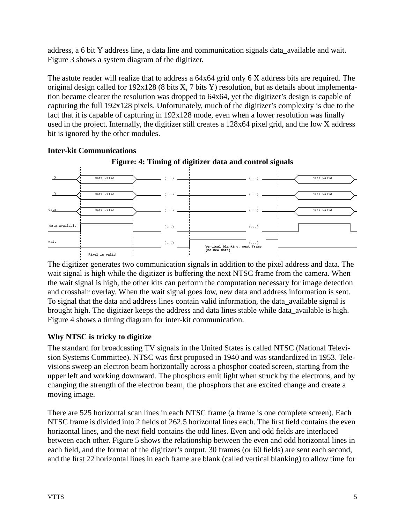address, a 6 bit Y address line, a data line and communication signals data\_available and wait. Figure 3 shows a system diagram of the digitizer.

The astute reader will realize that to address a 64x64 grid only 6 X address bits are required. The original design called for 192x128 (8 bits X, 7 bits Y) resolution, but as details about implementation became clearer the resolution was dropped to 64x64, yet the digitizer's design is capable of capturing the full 192x128 pixels. Unfortunately, much of the digitizer's complexity is due to the fact that it is capable of capturing in 192x128 mode, even when a lower resolution was finally used in the project. Internally, the digitizer still creates a 128x64 pixel grid, and the low X address bit is ignored by the other modules.

<span id="page-5-2"></span>

### <span id="page-5-0"></span>**Inter-kit Communications**

The digitizer generates two communication signals in addition to the pixel address and data. The wait signal is high while the digitizer is buffering the next NTSC frame from the camera. When the wait signal is high, the other kits can perform the computation necessary for image detection and crosshair overlay. When the wait signal goes low, new data and address information is sent. To signal that the data and address lines contain valid information, the data\_available signal is brought high. The digitizer keeps the address and data lines stable while data\_available is high. Figure 4 shows a timing diagram for inter-kit communication.

# <span id="page-5-1"></span>**Why NTSC is tricky to digitize**

The standard for broadcasting TV signals in the United States is called NTSC (National Television Systems Committee). NTSC was first proposed in 1940 and was standardized in 1953. Televisions sweep an electron beam horizontally across a phosphor coated screen, starting from the upper left and working downward. The phosphors emit light when struck by the electrons, and by changing the strength of the electron beam, the phosphors that are excited change and create a moving image.

There are 525 horizontal scan lines in each NTSC frame (a frame is one complete screen). Each NTSC frame is divided into 2 fields of 262.5 horizontal lines each. The first field contains the even horizontal lines, and the next field contains the odd lines. Even and odd fields are interlaced between each other. Figure 5 shows the relationship between the even and odd horizontal lines in each field, and the format of the digitizer's output. 30 frames (or 60 fields) are sent each second, and the first 22 horizontal lines in each frame are blank (called vertical blanking) to allow time for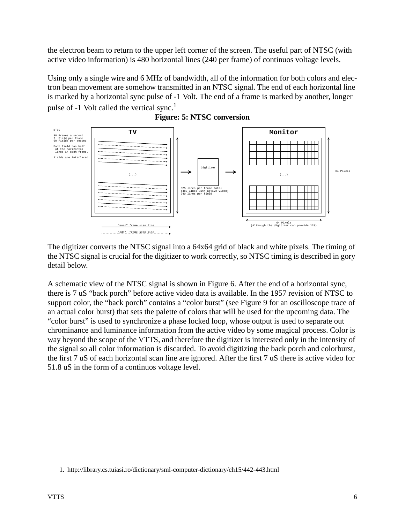the electron beam to return to the upper left corner of the screen. The useful part of NTSC (with active video information) is 480 horizontal lines (240 per frame) of continuos voltage levels.

Using only a single wire and 6 MHz of bandwidth, all of the information for both colors and electron bean movement are somehow transmitted in an NTSC signal. The end of each horizontal line is marked by a horizontal sync pulse of -1 Volt. The end of a frame is marked by another, longer pulse of  $-1$  Volt called the vertical sync.<sup>1</sup>

<span id="page-6-0"></span>



The digitizer converts the NTSC signal into a 64x64 grid of black and white pixels. The timing of the NTSC signal is crucial for the digitizer to work correctly, so NTSC timing is described in gory detail below.

A schematic view of the NTSC signal is shown in Figure 6. After the end of a horizontal sync, there is 7 uS "back porch" before active video data is available. In the 1957 revision of NTSC to support color, the "back porch" contains a "color burst" (see Figure 9 for an oscilloscope trace of an actual color burst) that sets the palette of colors that will be used for the upcoming data. The "color burst" is used to synchronize a phase locked loop, whose output is used to separate out chrominance and luminance information from the active video by some magical process. Color is way beyond the scope of the VTTS, and therefore the digitizer is interested only in the intensity of the signal so all color information is discarded. To avoid digitizing the back porch and colorburst, the first 7 uS of each horizontal scan line are ignored. After the first 7 uS there is active video for 51.8 uS in the form of a continuos voltage level.

<sup>1.</sup> http://library.cs.tuiasi.ro/dictionary/sml-computer-dictionary/ch15/442-443.html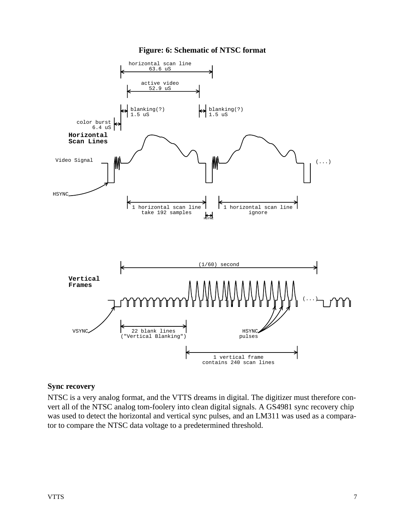#### **Figure: 6: Schematic of NTSC format**

<span id="page-7-1"></span>

#### <span id="page-7-0"></span>**Sync recovery**

NTSC is a very analog format, and the VTTS dreams in digital. The digitizer must therefore convert all of the NTSC analog tom-foolery into clean digital signals. A GS4981 sync recovery chip was used to detect the horizontal and vertical sync pulses, and an LM311 was used as a comparator to compare the NTSC data voltage to a predetermined threshold.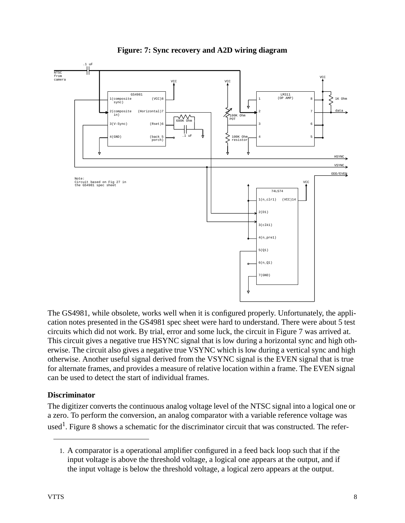<span id="page-8-1"></span>

**Figure: 7: Sync recovery and A2D wiring diagram**

The GS4981, while obsolete, works well when it is configured properly. Unfortunately, the application notes presented in the GS4981 spec sheet were hard to understand. There were about 5 test circuits which did not work. By trial, error and some luck, the circuit in Figure 7 was arrived at. This circuit gives a negative true HSYNC signal that is low during a horizontal sync and high otherwise. The circuit also gives a negative true VSYNC which is low during a vertical sync and high otherwise. Another useful signal derived from the VSYNC signal is the EVEN signal that is true for alternate frames, and provides a measure of relative location within a frame. The EVEN signal can be used to detect the start of individual frames.

# <span id="page-8-0"></span>**Discriminator**

The digitizer converts the continuous analog voltage level of the NTSC signal into a logical one or a zero. To perform the conversion, an analog comparator with a variable reference voltage was used<sup>1</sup>. Figure 8 shows a schematic for the discriminator circuit that was constructed. The refer-

<sup>1.</sup> A comparator is a operational amplifier configured in a feed back loop such that if the input voltage is above the threshold voltage, a logical one appears at the output, and if the input voltage is below the threshold voltage, a logical zero appears at the output.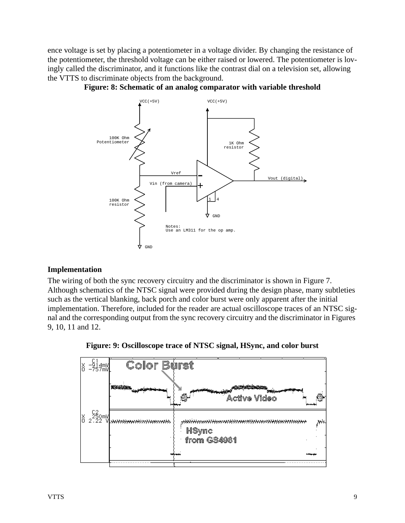ence voltage is set by placing a potentiometer in a voltage divider. By changing the resistance of the potentiometer, the threshold voltage can be either raised or lowered. The potentiometer is lovingly called the discriminator, and it functions like the contrast dial on a television set, allowing the VTTS to discriminate objects from the background.





#### <span id="page-9-0"></span>**Implementation**

The wiring of both the sync recovery circuitry and the discriminator is shown in Figure 7. Although schematics of the NTSC signal were provided during the design phase, many subtleties such as the vertical blanking, back porch and color burst were only apparent after the initial implementation. Therefore, included for the reader are actual oscilloscope traces of an NTSC signal and the corresponding output from the sync recovery circuitry and the discriminator in Figures 9, 10, 11 and 12.



<span id="page-9-1"></span>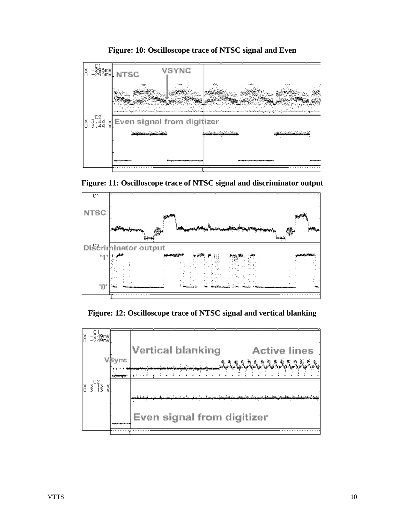<span id="page-10-0"></span>

**Figure: 10: Oscilloscope trace of NTSC signal and Even**

<span id="page-10-1"></span>



**Figure: 12: Oscilloscope trace of NTSC signal and vertical blanking**

<span id="page-10-2"></span>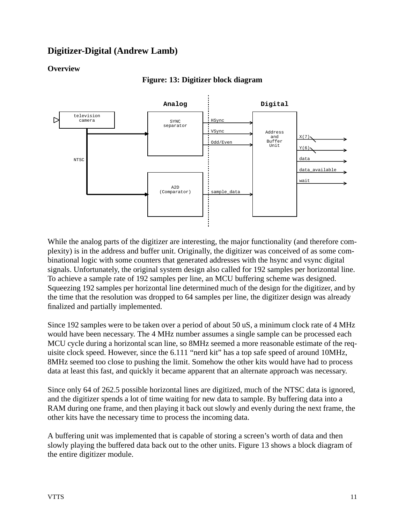# <span id="page-11-0"></span>**Digitizer-Digital (Andrew Lamb)**

# <span id="page-11-2"></span><span id="page-11-1"></span>**Overview**



#### **Figure: 13: Digitizer block diagram**

While the analog parts of the digitizer are interesting, the major functionality (and therefore complexity) is in the address and buffer unit. Originally, the digitizer was conceived of as some combinational logic with some counters that generated addresses with the hsync and vsync digital signals. Unfortunately, the original system design also called for 192 samples per horizontal line. To achieve a sample rate of 192 samples per line, an MCU buffering scheme was designed. Squeezing 192 samples per horizontal line determined much of the design for the digitizer, and by the time that the resolution was dropped to 64 samples per line, the digitizer design was already finalized and partially implemented.

Since 192 samples were to be taken over a period of about 50 uS, a minimum clock rate of 4 MHz would have been necessary. The 4 MHz number assumes a single sample can be processed each MCU cycle during a horizontal scan line, so 8MHz seemed a more reasonable estimate of the requisite clock speed. However, since the 6.111 "nerd kit" has a top safe speed of around 10MHz, 8MHz seemed too close to pushing the limit. Somehow the other kits would have had to process data at least this fast, and quickly it became apparent that an alternate approach was necessary.

Since only 64 of 262.5 possible horizontal lines are digitized, much of the NTSC data is ignored, and the digitizer spends a lot of time waiting for new data to sample. By buffering data into a RAM during one frame, and then playing it back out slowly and evenly during the next frame, the other kits have the necessary time to process the incoming data.

A buffering unit was implemented that is capable of storing a screen's worth of data and then slowly playing the buffered data back out to the other units. Figure 13 shows a block diagram of the entire digitizer module.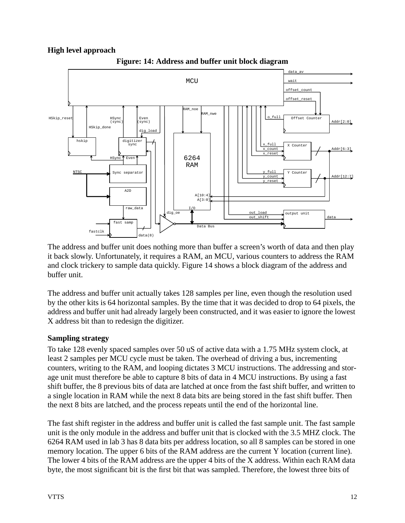# <span id="page-12-0"></span>**High level approach**

<span id="page-12-2"></span>



The address and buffer unit does nothing more than buffer a screen's worth of data and then play it back slowly. Unfortunately, it requires a RAM, an MCU, various counters to address the RAM and clock trickery to sample data quickly. Figure 14 shows a block diagram of the address and buffer unit.

The address and buffer unit actually takes 128 samples per line, even though the resolution used by the other kits is 64 horizontal samples. By the time that it was decided to drop to 64 pixels, the address and buffer unit had already largely been constructed, and it was easier to ignore the lowest X address bit than to redesign the digitizer.

# <span id="page-12-1"></span>**Sampling strategy**

To take 128 evenly spaced samples over 50 uS of active data with a 1.75 MHz system clock, at least 2 samples per MCU cycle must be taken. The overhead of driving a bus, incrementing counters, writing to the RAM, and looping dictates 3 MCU instructions. The addressing and storage unit must therefore be able to capture 8 bits of data in 4 MCU instructions. By using a fast shift buffer, the 8 previous bits of data are latched at once from the fast shift buffer, and written to a single location in RAM while the next 8 data bits are being stored in the fast shift buffer. Then the next 8 bits are latched, and the process repeats until the end of the horizontal line.

The fast shift register in the address and buffer unit is called the fast sample unit. The fast sample unit is the only module in the address and buffer unit that is clocked with the 3.5 MHZ clock. The 6264 RAM used in lab 3 has 8 data bits per address location, so all 8 samples can be stored in one memory location. The upper 6 bits of the RAM address are the current Y location (current line). The lower 4 bits of the RAM address are the upper 4 bits of the X address. Within each RAM data byte, the most significant bit is the first bit that was sampled. Therefore, the lowest three bits of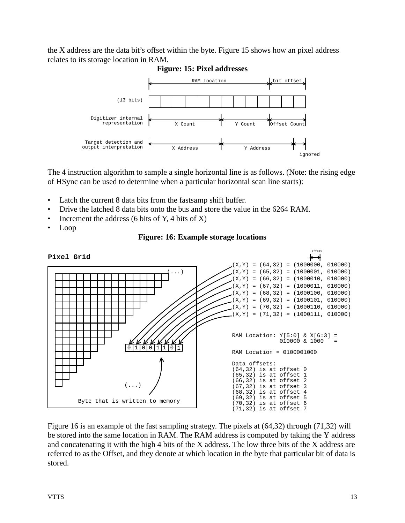<span id="page-13-0"></span>the X address are the data bit's offset within the byte. Figure 15 shows how an pixel address relates to its storage location in RAM.



**Figure: 15: Pixel addresses**

The 4 instruction algorithm to sample a single horizontal line is as follows. (Note: the rising edge of HSync can be used to determine when a particular horizontal scan line starts):

- Latch the current 8 data bits from the fastsamp shift buffer.
- Drive the latched 8 data bits onto the bus and store the value in the 6264 RAM.
- Increment the address (6 bits of Y, 4 bits of X)
- <span id="page-13-1"></span>• Loop





Figure 16 is an example of the fast sampling strategy. The pixels at (64,32) through (71,32) will be stored into the same location in RAM. The RAM address is computed by taking the Y address and concatenating it with the high 4 bits of the X address. The low three bits of the X address are referred to as the Offset, and they denote at which location in the byte that particular bit of data is stored.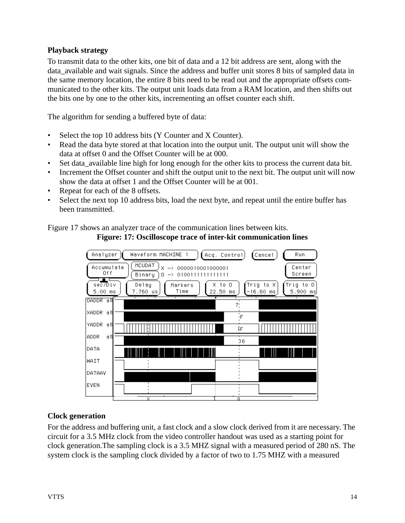# <span id="page-14-0"></span>**Playback strategy**

To transmit data to the other kits, one bit of data and a 12 bit address are sent, along with the data\_available and wait signals. Since the address and buffer unit stores 8 bits of sampled data in the same memory location, the entire 8 bits need to be read out and the appropriate offsets communicated to the other kits. The output unit loads data from a RAM location, and then shifts out the bits one by one to the other kits, incrementing an offset counter each shift.

The algorithm for sending a buffered byte of data:

- Select the top 10 address bits (Y Counter and X Counter).
- Read the data byte stored at that location into the output unit. The output unit will show the data at offset 0 and the Offset Counter will be at 000.
- Set data\_available line high for long enough for the other kits to process the current data bit.
- Increment the Offset counter and shift the output unit to the next bit. The output unit will now show the data at offset 1 and the Offset Counter will be at 001.
- Repeat for each of the 8 offsets.
- Select the next top 10 address bits, load the next byte, and repeat until the entire buffer has been transmitted.

<span id="page-14-2"></span>Figure 17 shows an analyzer trace of the communication lines between kits.





# <span id="page-14-1"></span>**Clock generation**

For the address and buffering unit, a fast clock and a slow clock derived from it are necessary. The circuit for a 3.5 MHz clock from the video controller handout was used as a starting point for clock generation.The sampling clock is a 3.5 MHZ signal with a measured period of 280 nS. The system clock is the sampling clock divided by a factor of two to 1.75 MHZ with a measured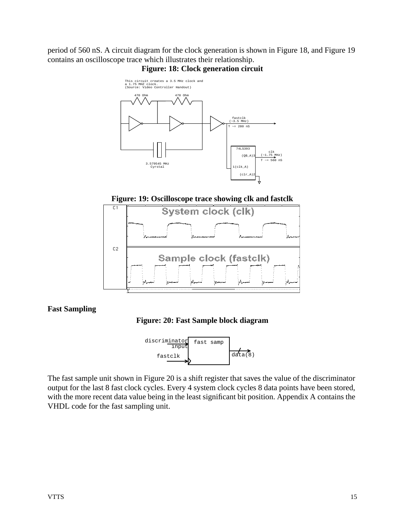<span id="page-15-1"></span>period of 560 nS. A circuit diagram for the clock generation is shown in Figure 18, and Figure 19 contains an oscilloscope trace which illustrates their relationship.



### **Figure: 18: Clock generation circuit**

**Figure: 19: Oscilloscope trace showing clk and fastclk**

<span id="page-15-2"></span>

#### <span id="page-15-3"></span><span id="page-15-0"></span>**Fast Sampling**





The fast sample unit shown in Figure 20 is a shift register that saves the value of the discriminator output for the last 8 fast clock cycles. Every 4 system clock cycles 8 data points have been stored, with the more recent data value being in the least significant bit position. Appendix A contains the VHDL code for the fast sampling unit.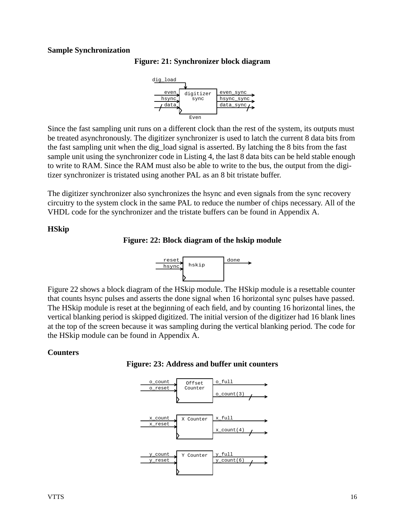#### <span id="page-16-3"></span><span id="page-16-0"></span>**Sample Synchronization**





Since the fast sampling unit runs on a different clock than the rest of the system, its outputs must be treated asynchronously. The digitizer synchronizer is used to latch the current 8 data bits from the fast sampling unit when the dig\_load signal is asserted. By latching the 8 bits from the fast sample unit using the synchronizer code in Listing 4, the last 8 data bits can be held stable enough to write to RAM. Since the RAM must also be able to write to the bus, the output from the digitizer synchronizer is tristated using another PAL as an 8 bit tristate buffer.

The digitizer synchronizer also synchronizes the hsync and even signals from the sync recovery circuitry to the system clock in the same PAL to reduce the number of chips necessary. All of the VHDL code for the synchronizer and the tristate buffers can be found in Appendix A.

#### <span id="page-16-4"></span><span id="page-16-1"></span>**HSkip**

**Figure: 22: Block diagram of the hskip module**



Figure 22 shows a block diagram of the HSkip module. The HSkip module is a resettable counter that counts hsync pulses and asserts the done signal when 16 horizontal sync pulses have passed. The HSkip module is reset at the beginning of each field, and by counting 16 horizontal lines, the vertical blanking period is skipped digitized. The initial version of the digitizer had 16 blank lines at the top of the screen because it was sampling during the vertical blanking period. The code for the HSkip module can be found in Appendix A.

#### <span id="page-16-5"></span><span id="page-16-2"></span>**Counters**



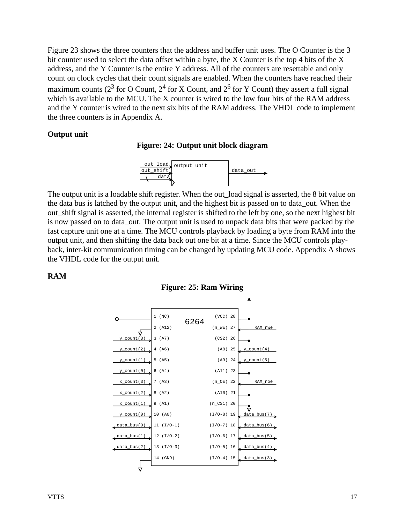Figure 23 shows the three counters that the address and buffer unit uses. The O Counter is the 3 bit counter used to select the data offset within a byte, the X Counter is the top 4 bits of the X address, and the Y Counter is the entire Y address. All of the counters are resettable and only count on clock cycles that their count signals are enabled. When the counters have reached their maximum counts (2<sup>3</sup> for O Count, 2<sup>4</sup> for X Count, and 2<sup>6</sup> for Y Count) they assert a full signal which is available to the MCU. The X counter is wired to the low four bits of the RAM address and the Y counter is wired to the next six bits of the RAM address. The VHDL code to implement the three counters is in Appendix A.

#### <span id="page-17-2"></span><span id="page-17-0"></span>**Output unit**

#### **Figure: 24: Output unit block diagram**



The output unit is a loadable shift register. When the out\_load signal is asserted, the 8 bit value on the data bus is latched by the output unit, and the highest bit is passed on to data\_out. When the out\_shift signal is asserted, the internal register is shifted to the left by one, so the next highest bit is now passed on to data\_out. The output unit is used to unpack data bits that were packed by the fast capture unit one at a time. The MCU controls playback by loading a byte from RAM into the output unit, and then shifting the data back out one bit at a time. Since the MCU controls playback, inter-kit communication timing can be changed by updating MCU code. Appendix A shows the VHDL code for the output unit.

#### <span id="page-17-1"></span>**RAM**



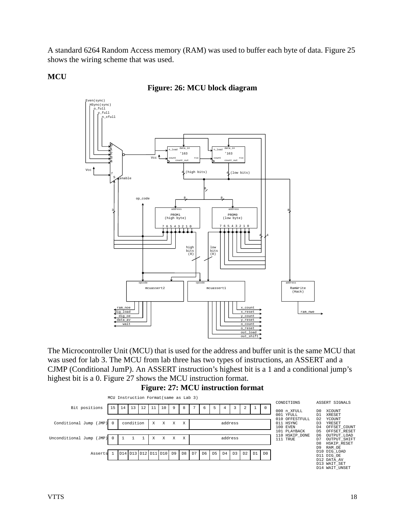A standard 6264 Random Access memory (RAM) was used to buffer each byte of data. Figure 25 shows the wiring scheme that was used.

**MCU**

### **Figure: 26: MCU block diagram**



The Microcontroller Unit (MCU) that is used for the address and buffer unit is the same MCU that was used for lab 3. The MCU from lab three has two types of instructions, an ASSERT and a CJMP (Conditional JumP). An ASSERT instruction's highest bit is a 1 and a conditional jump's highest bit is a 0. Figure 27 shows the MCU instruction format.

**Figure: 27: MCU instruction format**

<span id="page-18-0"></span>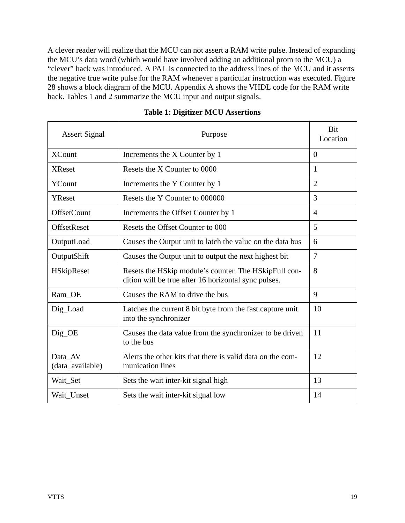A clever reader will realize that the MCU can not assert a RAM write pulse. Instead of expanding the MCU's data word (which would have involved adding an additional prom to the MCU) a "clever" hack was introduced. A PAL is connected to the address lines of the MCU and it asserts the negative true write pulse for the RAM whenever a particular instruction was executed. Figure 28 shows a block diagram of the MCU. Appendix A shows the VHDL code for the RAM write hack. Tables 1 and 2 summarize the MCU input and output signals.

| <b>Assert Signal</b>        | Purpose                                                                                                       | Bit<br>Location |
|-----------------------------|---------------------------------------------------------------------------------------------------------------|-----------------|
| <b>XCount</b>               | Increments the X Counter by 1                                                                                 | $\Omega$        |
| <b>XReset</b>               | Resets the X Counter to 0000                                                                                  | $\mathbf{1}$    |
| YCount                      | Increments the Y Counter by 1                                                                                 | $\overline{2}$  |
| YReset                      | Resets the Y Counter to 000000                                                                                | 3               |
| <b>OffsetCount</b>          | Increments the Offset Counter by 1                                                                            | $\overline{4}$  |
| OffsetReset                 | Resets the Offset Counter to 000                                                                              | 5               |
| OutputLoad                  | Causes the Output unit to latch the value on the data bus                                                     | 6               |
| OutputShift                 | Causes the Output unit to output the next highest bit                                                         | $\overline{7}$  |
| HSkipReset                  | Resets the HSkip module's counter. The HSkipFull con-<br>dition will be true after 16 horizontal sync pulses. | 8               |
| Ram_OE                      | Causes the RAM to drive the bus                                                                               | 9               |
| Dig_Load                    | Latches the current 8 bit byte from the fast capture unit<br>into the synchronizer                            | 10              |
| Dig_OE                      | Causes the data value from the synchronizer to be driven<br>to the bus                                        | 11              |
| Data AV<br>(data_available) | Alerts the other kits that there is valid data on the com-<br>munication lines                                | 12              |
| Wait_Set                    | Sets the wait inter-kit signal high                                                                           | 13              |
| Wait_Unset                  | Sets the wait inter-kit signal low                                                                            | 14              |

**Table 1: Digitizer MCU Assertions**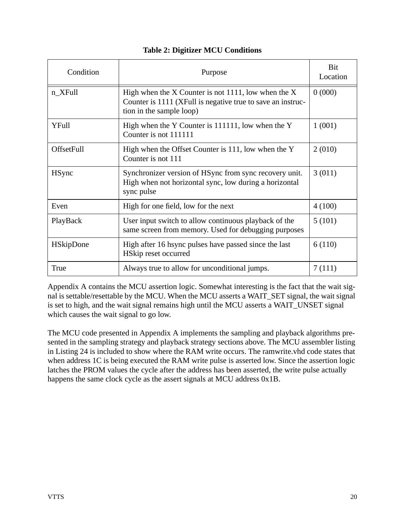| Condition         | Purpose                                                                                                                                        | Bit<br>Location |
|-------------------|------------------------------------------------------------------------------------------------------------------------------------------------|-----------------|
| n_XFull           | High when the X Counter is not 1111, low when the X<br>Counter is 1111 (XFull is negative true to save an instruc-<br>tion in the sample loop) | 0(000)          |
| YFull             | High when the Y Counter is 111111, low when the Y<br>Counter is not 111111                                                                     | 1(001)          |
| <b>OffsetFull</b> | High when the Offset Counter is 111, low when the Y<br>Counter is not 111                                                                      | 2(010)          |
| <b>H</b> Sync     | Synchronizer version of HSync from sync recovery unit.<br>High when not horizontal sync, low during a horizontal<br>sync pulse                 | 3(011)          |
| Even              | High for one field, low for the next                                                                                                           | 4(100)          |
| PlayBack          | User input switch to allow continuous playback of the<br>same screen from memory. Used for debugging purposes                                  | 5(101)          |
| <b>HSkipDone</b>  | High after 16 hsync pulses have passed since the last<br>HSkip reset occurred                                                                  | 6(110)          |
| True              | Always true to allow for unconditional jumps.                                                                                                  | 7(111)          |

# **Table 2: Digitizer MCU Conditions**

Appendix A contains the MCU assertion logic. Somewhat interesting is the fact that the wait signal is settable/resettable by the MCU. When the MCU asserts a WAIT\_SET signal, the wait signal is set to high, and the wait signal remains high until the MCU asserts a WAIT\_UNSET signal which causes the wait signal to go low.

The MCU code presented in Appendix A implements the sampling and playback algorithms presented in the sampling strategy and playback strategy sections above. The MCU assembler listing in Listing 24 is included to show where the RAM write occurs. The ramwrite.vhd code states that when address 1C is being executed the RAM write pulse is asserted low. Since the assertion logic latches the PROM values the cycle after the address has been asserted, the write pulse actually happens the same clock cycle as the assert signals at MCU address 0x1B.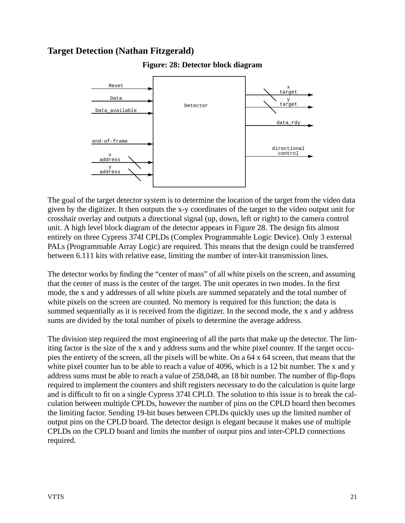# <span id="page-21-1"></span><span id="page-21-0"></span>**Target Detection (Nathan Fitzgerald)**



**Figure: 28: Detector block diagram**

The goal of the target detector system is to determine the location of the target from the video data given by the digitizer. It then outputs the x-y coordinates of the target to the video output unit for crosshair overlay and outputs a directional signal (up, down, left or right) to the camera control unit. A high level block diagram of the detector appears in Figure 28. The design fits almost entirely on three Cypress 374I CPLDs (Complex Programmable Logic Device). Only 3 external PALs (Programmable Array Logic) are required. This means that the design could be transferred between 6.111 kits with relative ease, limiting the number of inter-kit transmission lines.

The detector works by finding the "center of mass" of all white pixels on the screen, and assuming that the center of mass is the center of the target. The unit operates in two modes. In the first mode, the x and y addresses of all white pixels are summed separately and the total number of white pixels on the screen are counted. No memory is required for this function; the data is summed sequentially as it is received from the digitizer. In the second mode, the x and y address sums are divided by the total number of pixels to determine the average address.

The division step required the most engineering of all the parts that make up the detector. The limiting factor is the size of the x and y address sums and the white pixel counter. If the target occupies the entirety of the screen, all the pixels will be white. On a 64 x 64 screen, that means that the white pixel counter has to be able to reach a value of 4096, which is a 12 bit number. The x and y address sums must be able to reach a value of 258,048, an 18 bit number. The number of flip-flops required to implement the counters and shift registers necessary to do the calculation is quite large and is difficult to fit on a single Cypress 374I CPLD. The solution to this issue is to break the calculation between multiple CPLDs, however the number of pins on the CPLD board then becomes the limiting factor. Sending 19-bit buses between CPLDs quickly uses up the limited number of output pins on the CPLD board. The detector design is elegant because it makes use of multiple CPLDs on the CPLD board and limits the number of output pins and inter-CPLD connections required.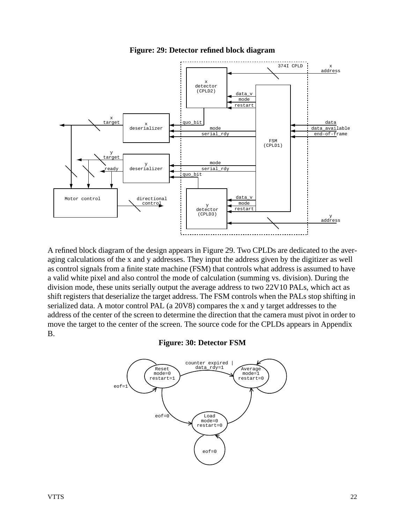

<span id="page-22-0"></span>

A refined block diagram of the design appears in Figure 29. Two CPLDs are dedicated to the averaging calculations of the x and y addresses. They input the address given by the digitizer as well as control signals from a finite state machine (FSM) that controls what address is assumed to have a valid white pixel and also control the mode of calculation (summing vs. division). During the division mode, these units serially output the average address to two 22V10 PALs, which act as shift registers that deserialize the target address. The FSM controls when the PALs stop shifting in serialized data. A motor control PAL (a 20V8) compares the x and y target addresses to the address of the center of the screen to determine the direction that the camera must pivot in order to move the target to the center of the screen. The source code for the CPLDs appears in Appendix B.

#### **Figure: 30: Detector FSM**

<span id="page-22-1"></span>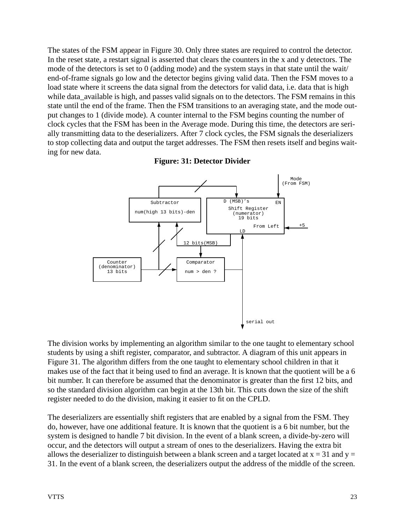The states of the FSM appear in Figure 30. Only three states are required to control the detector. In the reset state, a restart signal is asserted that clears the counters in the x and y detectors. The mode of the detectors is set to 0 (adding mode) and the system stays in that state until the wait/ end-of-frame signals go low and the detector begins giving valid data. Then the FSM moves to a load state where it screens the data signal from the detectors for valid data, i.e. data that is high while data available is high, and passes valid signals on to the detectors. The FSM remains in this state until the end of the frame. Then the FSM transitions to an averaging state, and the mode output changes to 1 (divide mode). A counter internal to the FSM begins counting the number of clock cycles that the FSM has been in the Average mode. During this time, the detectors are serially transmitting data to the deserializers. After 7 clock cycles, the FSM signals the deserializers to stop collecting data and output the target addresses. The FSM then resets itself and begins waiting for new data.

<span id="page-23-0"></span>

**Figure: 31: Detector Divider**

The division works by implementing an algorithm similar to the one taught to elementary school students by using a shift register, comparator, and subtractor. A diagram of this unit appears in Figure 31. The algorithm differs from the one taught to elementary school children in that it makes use of the fact that it being used to find an average. It is known that the quotient will be a 6 bit number. It can therefore be assumed that the denominator is greater than the first 12 bits, and so the standard division algorithm can begin at the 13th bit. This cuts down the size of the shift register needed to do the division, making it easier to fit on the CPLD.

The deserializers are essentially shift registers that are enabled by a signal from the FSM. They do, however, have one additional feature. It is known that the quotient is a 6 bit number, but the system is designed to handle 7 bit division. In the event of a blank screen, a divide-by-zero will occur, and the detectors will output a stream of ones to the deserializers. Having the extra bit allows the deserializer to distinguish between a blank screen and a target located at  $x = 31$  and  $y =$ 31. In the event of a blank screen, the deserializers output the address of the middle of the screen.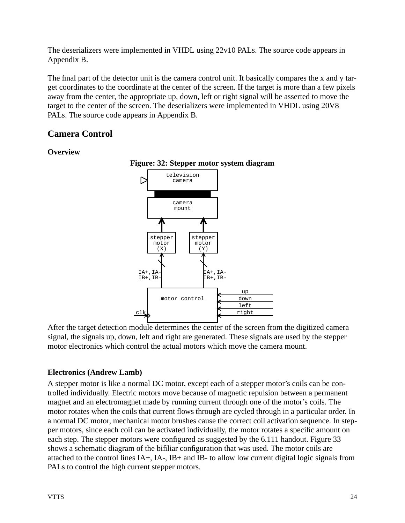The deserializers were implemented in VHDL using 22v10 PALs. The source code appears in Appendix B.

The final part of the detector unit is the camera control unit. It basically compares the x and y target coordinates to the coordinate at the center of the screen. If the target is more than a few pixels away from the center, the appropriate up, down, left or right signal will be asserted to move the target to the center of the screen. The deserializers were implemented in VHDL using 20V8 PALs. The source code appears in Appendix B.

# <span id="page-24-0"></span>**Camera Control**

#### <span id="page-24-3"></span><span id="page-24-1"></span>**Overview**



**Figure: 32: Stepper motor system diagram**

After the target detection module determines the center of the screen from the digitized camera signal, the signals up, down, left and right are generated. These signals are used by the stepper motor electronics which control the actual motors which move the camera mount.

# <span id="page-24-2"></span>**Electronics (Andrew Lamb)**

A stepper motor is like a normal DC motor, except each of a stepper motor's coils can be controlled individually. Electric motors move because of magnetic repulsion between a permanent magnet and an electromagnet made by running current through one of the motor's coils. The motor rotates when the coils that current flows through are cycled through in a particular order. In a normal DC motor, mechanical motor brushes cause the correct coil activation sequence. In stepper motors, since each coil can be activated individually, the motor rotates a specific amount on each step. The stepper motors were configured as suggested by the 6.111 handout. Figure 33 shows a schematic diagram of the bifiliar configuration that was used. The motor coils are attached to the control lines IA+, IA-, IB+ and IB- to allow low current digital logic signals from PALs to control the high current stepper motors.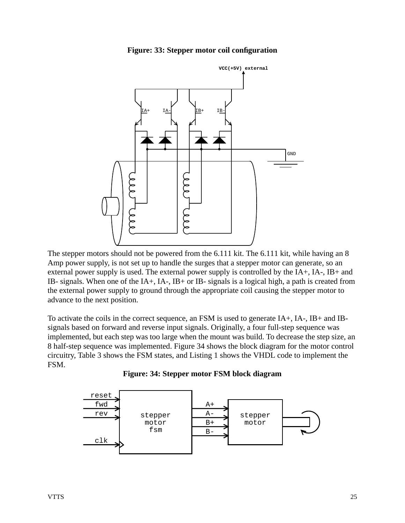

<span id="page-25-0"></span>

The stepper motors should not be powered from the 6.111 kit. The 6.111 kit, while having an 8 Amp power supply, is not set up to handle the surges that a stepper motor can generate, so an external power supply is used. The external power supply is controlled by the IA+, IA-, IB+ and IB- signals. When one of the IA+, IA-, IB+ or IB- signals is a logical high, a path is created from the external power supply to ground through the appropriate coil causing the stepper motor to advance to the next position.

To activate the coils in the correct sequence, an FSM is used to generate IA+, IA-, IB+ and IBsignals based on forward and reverse input signals. Originally, a four full-step sequence was implemented, but each step was too large when the mount was build. To decrease the step size, an 8 half-step sequence was implemented. Figure 34 shows the block diagram for the motor control circuitry, Table 3 shows the FSM states, and Listing 1 shows the VHDL code to implement the FSM.



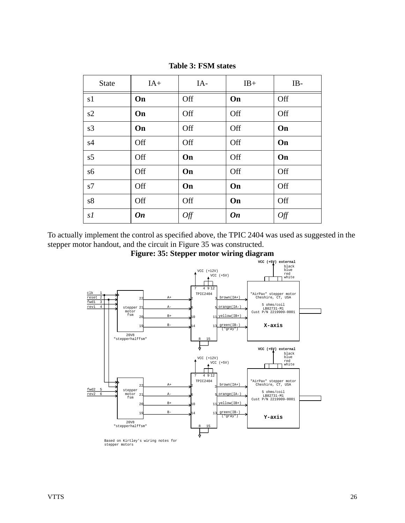| <b>State</b>   | $IA+$     | IA- | $IB+$     | IB- |
|----------------|-----------|-----|-----------|-----|
| s1             | On        | Off | On        | Off |
| s2             | On        | Off | Off       | Off |
| s3             | On        | Off | Off       | On  |
| s4             | Off       | Off | Off       | On  |
| s5             | Off       | On  | Off       | On  |
| s6             | Off       | On  | Off       | Off |
| s7             | Off       | On  | On        | Off |
| s <sup>8</sup> | Off       | Off | On        | Off |
| s1             | <b>On</b> | Off | <b>On</b> | Off |

**Table 3: FSM states**

<span id="page-26-0"></span>To actually implement the control as specified above, the TPIC 2404 was used as suggested in the stepper motor handout, and the circuit in Figure 35 was constructed.



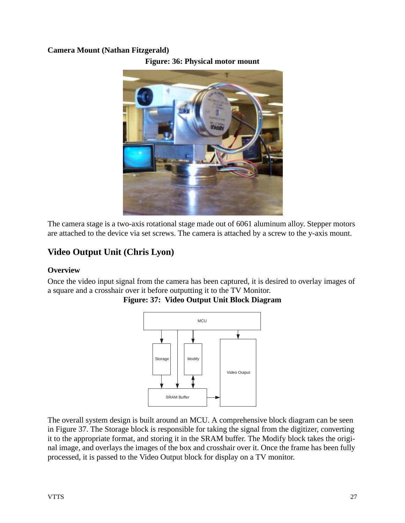### <span id="page-27-3"></span><span id="page-27-0"></span>**Camera Mount (Nathan Fitzgerald)**





The camera stage is a two-axis rotational stage made out of 6061 aluminum alloy. Stepper motors are attached to the device via set screws. The camera is attached by a screw to the y-axis mount.

# <span id="page-27-1"></span>**Video Output Unit (Chris Lyon)**

#### <span id="page-27-2"></span>**Overview**

<span id="page-27-4"></span>Once the video input signal from the camera has been captured, it is desired to overlay images of a square and a crosshair over it before outputting it to the TV Monitor.



**Figure: 37: Video Output Unit Block Diagram**

The overall system design is built around an MCU. A comprehensive block diagram can be seen in Figure 37. The Storage block is responsible for taking the signal from the digitizer, converting it to the appropriate format, and storing it in the SRAM buffer. The Modify block takes the original image, and overlays the images of the box and crosshair over it. Once the frame has been fully processed, it is passed to the Video Output block for display on a TV monitor.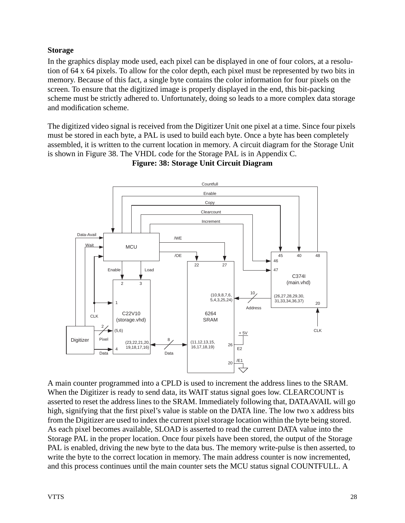# <span id="page-28-0"></span>**Storage**

In the graphics display mode used, each pixel can be displayed in one of four colors, at a resolution of 64 x 64 pixels. To allow for the color depth, each pixel must be represented by two bits in memory. Because of this fact, a single byte contains the color information for four pixels on the screen. To ensure that the digitized image is properly displayed in the end, this bit-packing scheme must be strictly adhered to. Unfortunately, doing so leads to a more complex data storage and modification scheme.

The digitized video signal is received from the Digitizer Unit one pixel at a time. Since four pixels must be stored in each byte, a PAL is used to build each byte. Once a byte has been completely assembled, it is written to the current location in memory. A circuit diagram for the Storage Unit is shown in Figure 38. The VHDL code for the Storage PAL is in Appendix C.

<span id="page-28-1"></span>

**Figure: 38: Storage Unit Circuit Diagram**

A main counter programmed into a CPLD is used to increment the address lines to the SRAM. When the Digitizer is ready to send data, its WAIT status signal goes low. CLEARCOUNT is asserted to reset the address lines to the SRAM. Immediately following that, DATAAVAIL will go high, signifying that the first pixel's value is stable on the DATA line. The low two x address bits from the Digitizer are used to index the current pixel storage location within the byte being stored. As each pixel becomes available, SLOAD is asserted to read the current DATA value into the Storage PAL in the proper location. Once four pixels have been stored, the output of the Storage PAL is enabled, driving the new byte to the data bus. The memory write-pulse is then asserted, to write the byte to the correct location in memory. The main address counter is now incremented, and this process continues until the main counter sets the MCU status signal COUNTFULL. A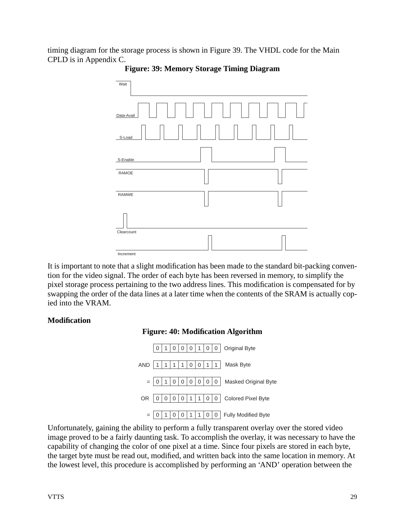<span id="page-29-1"></span>timing diagram for the storage process is shown in Figure 39. The VHDL code for the Main CPLD is in Appendix C.



**Figure: 39: Memory Storage Timing Diagram**

It is important to note that a slight modification has been made to the standard bit-packing convention for the video signal. The order of each byte has been reversed in memory, to simplify the pixel storage process pertaining to the two address lines. This modification is compensated for by swapping the order of the data lines at a later time when the contents of the SRAM is actually copied into the VRAM.

#### <span id="page-29-2"></span><span id="page-29-0"></span>**Modification**





Unfortunately, gaining the ability to perform a fully transparent overlay over the stored video image proved to be a fairly daunting task. To accomplish the overlay, it was necessary to have the capability of changing the color of one pixel at a time. Since four pixels are stored in each byte, the target byte must be read out, modified, and written back into the same location in memory. At the lowest level, this procedure is accomplished by performing an 'AND' operation between the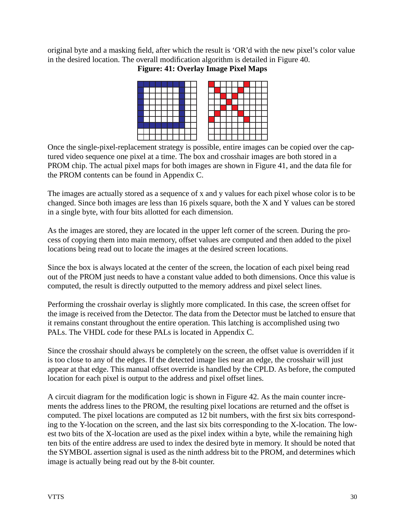<span id="page-30-0"></span>original byte and a masking field, after which the result is 'OR'd with the new pixel's color value in the desired location. The overall modification algorithm is detailed in Figure 40.

# **Figure: 41: Overlay Image Pixel Maps**



Once the single-pixel-replacement strategy is possible, entire images can be copied over the captured video sequence one pixel at a time. The box and crosshair images are both stored in a PROM chip. The actual pixel maps for both images are shown in Figure 41, and the data file for the PROM contents can be found in Appendix C.

The images are actually stored as a sequence of x and y values for each pixel whose color is to be changed. Since both images are less than 16 pixels square, both the X and Y values can be stored in a single byte, with four bits allotted for each dimension.

As the images are stored, they are located in the upper left corner of the screen. During the process of copying them into main memory, offset values are computed and then added to the pixel locations being read out to locate the images at the desired screen locations.

Since the box is always located at the center of the screen, the location of each pixel being read out of the PROM just needs to have a constant value added to both dimensions. Once this value is computed, the result is directly outputted to the memory address and pixel select lines.

Performing the crosshair overlay is slightly more complicated. In this case, the screen offset for the image is received from the Detector. The data from the Detector must be latched to ensure that it remains constant throughout the entire operation. This latching is accomplished using two PALs. The VHDL code for these PALs is located in Appendix C.

Since the crosshair should always be completely on the screen, the offset value is overridden if it is too close to any of the edges. If the detected image lies near an edge, the crosshair will just appear at that edge. This manual offset override is handled by the CPLD. As before, the computed location for each pixel is output to the address and pixel offset lines.

A circuit diagram for the modification logic is shown in Figure 42. As the main counter increments the address lines to the PROM, the resulting pixel locations are returned and the offset is computed. The pixel locations are computed as 12 bit numbers, with the first six bits corresponding to the Y-location on the screen, and the last six bits corresponding to the X-location. The lowest two bits of the X-location are used as the pixel index within a byte, while the remaining high ten bits of the entire address are used to index the desired byte in memory. It should be noted that the SYMBOL assertion signal is used as the ninth address bit to the PROM, and determines which image is actually being read out by the 8-bit counter.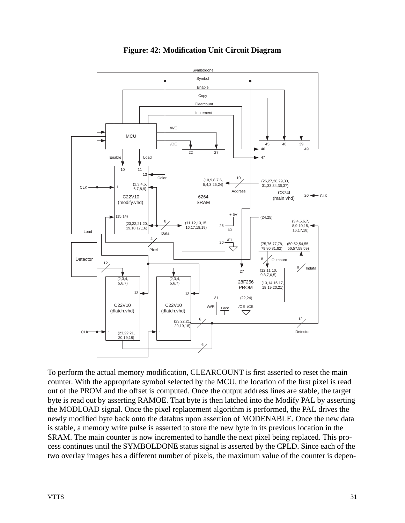<span id="page-31-0"></span>

### **Figure: 42: Modification Unit Circuit Diagram**

To perform the actual memory modification, CLEARCOUNT is first asserted to reset the main counter. With the appropriate symbol selected by the MCU, the location of the first pixel is read out of the PROM and the offset is computed. Once the output address lines are stable, the target byte is read out by asserting RAMOE. That byte is then latched into the Modify PAL by asserting the MODLOAD signal. Once the pixel replacement algorithm is performed, the PAL drives the newly modified byte back onto the databus upon assertion of MODENABLE. Once the new data is stable, a memory write pulse is asserted to store the new byte in its previous location in the SRAM. The main counter is now incremented to handle the next pixel being replaced. This process continues until the SYMBOLDONE status signal is asserted by the CPLD. Since each of the two overlay images has a different number of pixels, the maximum value of the counter is depen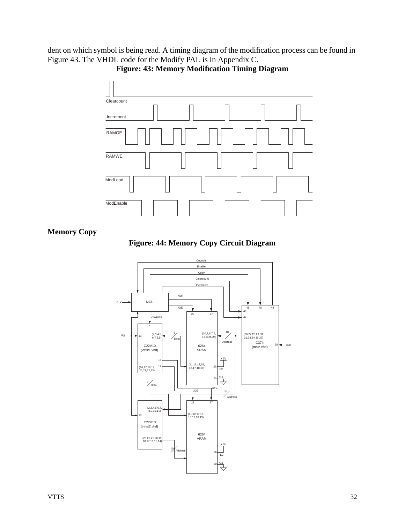<span id="page-32-1"></span>dent on which symbol is being read. A timing diagram of the modification process can be found in Figure 43. The VHDL code for the Modify PAL is in Appendix C.



**Figure: 43: Memory Modification Timing Diagram**

### <span id="page-32-2"></span><span id="page-32-0"></span>**Memory Copy**

**Figure: 44: Memory Copy Circuit Diagram**

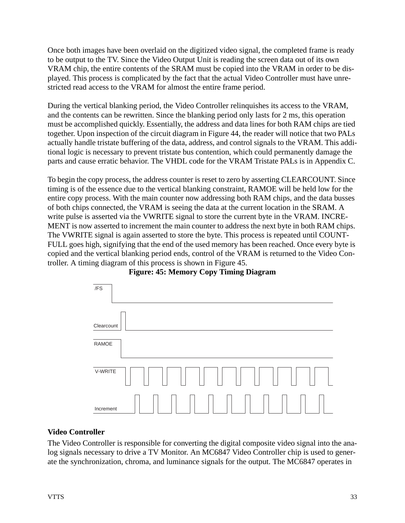Once both images have been overlaid on the digitized video signal, the completed frame is ready to be output to the TV. Since the Video Output Unit is reading the screen data out of its own VRAM chip, the entire contents of the SRAM must be copied into the VRAM in order to be displayed. This process is complicated by the fact that the actual Video Controller must have unrestricted read access to the VRAM for almost the entire frame period.

During the vertical blanking period, the Video Controller relinquishes its access to the VRAM, and the contents can be rewritten. Since the blanking period only lasts for 2 ms, this operation must be accomplished quickly. Essentially, the address and data lines for both RAM chips are tied together. Upon inspection of the circuit diagram in Figure 44, the reader will notice that two PALs actually handle tristate buffering of the data, address, and control signals to the VRAM. This additional logic is necessary to prevent tristate bus contention, which could permanently damage the parts and cause erratic behavior. The VHDL code for the VRAM Tristate PALs is in Appendix C.

To begin the copy process, the address counter is reset to zero by asserting CLEARCOUNT. Since timing is of the essence due to the vertical blanking constraint, RAMOE will be held low for the entire copy process. With the main counter now addressing both RAM chips, and the data busses of both chips connected, the VRAM is seeing the data at the current location in the SRAM. A write pulse is asserted via the VWRITE signal to store the current byte in the VRAM. INCRE-MENT is now asserted to increment the main counter to address the next byte in both RAM chips. The VWRITE signal is again asserted to store the byte. This process is repeated until COUNT-FULL goes high, signifying that the end of the used memory has been reached. Once every byte is copied and the vertical blanking period ends, control of the VRAM is returned to the Video Controller. A timing diagram of this process is shown in Figure 45.

<span id="page-33-1"></span>

**Figure: 45: Memory Copy Timing Diagram**

#### <span id="page-33-0"></span>**Video Controller**

The Video Controller is responsible for converting the digital composite video signal into the analog signals necessary to drive a TV Monitor. An MC6847 Video Controller chip is used to generate the synchronization, chroma, and luminance signals for the output. The MC6847 operates in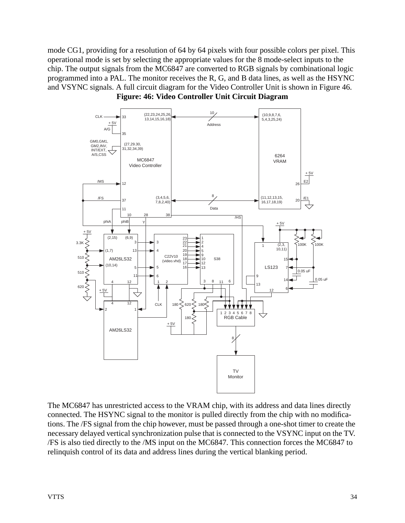mode CG1, providing for a resolution of 64 by 64 pixels with four possible colors per pixel. This operational mode is set by selecting the appropriate values for the 8 mode-select inputs to the chip. The output signals from the MC6847 are converted to RGB signals by combinational logic programmed into a PAL. The monitor receives the R, G, and B data lines, as well as the HSYNC and VSYNC signals. A full circuit diagram for the Video Controller Unit is shown in Figure 46. **Figure: 46: Video Controller Unit Circuit Diagram**

<span id="page-34-0"></span>

The MC6847 has unrestricted access to the VRAM chip, with its address and data lines directly connected. The HSYNC signal to the monitor is pulled directly from the chip with no modifications. The /FS signal from the chip however, must be passed through a one-shot timer to create the necessary delayed vertical synchronization pulse that is connected to the VSYNC input on the TV. /FS is also tied directly to the /MS input on the MC6847. This connection forces the MC6847 to relinquish control of its data and address lines during the vertical blanking period.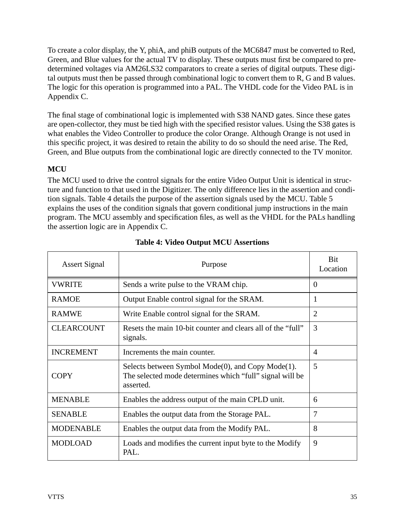To create a color display, the Y, phiA, and phiB outputs of the MC6847 must be converted to Red, Green, and Blue values for the actual TV to display. These outputs must first be compared to predetermined voltages via AM26LS32 comparators to create a series of digital outputs. These digital outputs must then be passed through combinational logic to convert them to R, G and B values. The logic for this operation is programmed into a PAL. The VHDL code for the Video PAL is in Appendix C.

The final stage of combinational logic is implemented with S38 NAND gates. Since these gates are open-collector, they must be tied high with the specified resistor values. Using the S38 gates is what enables the Video Controller to produce the color Orange. Although Orange is not used in this specific project, it was desired to retain the ability to do so should the need arise. The Red, Green, and Blue outputs from the combinational logic are directly connected to the TV monitor.

# <span id="page-35-0"></span>**MCU**

The MCU used to drive the control signals for the entire Video Output Unit is identical in structure and function to that used in the Digitizer. The only difference lies in the assertion and condition signals. Table 4 details the purpose of the assertion signals used by the MCU. Table 5 explains the uses of the condition signals that govern conditional jump instructions in the main program. The MCU assembly and specification files, as well as the VHDL for the PALs handling the assertion logic are in Appendix C.

| <b>Assert Signal</b> | Purpose                                                                                                                    | <b>Bit</b><br>Location |
|----------------------|----------------------------------------------------------------------------------------------------------------------------|------------------------|
| <b>VWRITE</b>        | Sends a write pulse to the VRAM chip.                                                                                      | $\Omega$               |
| <b>RAMOE</b>         | Output Enable control signal for the SRAM.                                                                                 | 1                      |
| <b>RAMWE</b>         | Write Enable control signal for the SRAM.                                                                                  | $\overline{2}$         |
| <b>CLEARCOUNT</b>    | Resets the main 10-bit counter and clears all of the "full"<br>signals.                                                    | 3                      |
| <b>INCREMENT</b>     | Increments the main counter.                                                                                               | $\overline{A}$         |
| <b>COPY</b>          | Selects between Symbol Mode(0), and Copy Mode(1).<br>The selected mode determines which "full" signal will be<br>asserted. | 5                      |
| <b>MENABLE</b>       | Enables the address output of the main CPLD unit.                                                                          | 6                      |
| <b>SENABLE</b>       | Enables the output data from the Storage PAL.                                                                              | $\overline{7}$         |
| <b>MODENABLE</b>     | Enables the output data from the Modify PAL.                                                                               | 8                      |
| <b>MODLOAD</b>       | Loads and modifies the current input byte to the Modify<br>PAL.                                                            | 9                      |

# **Table 4: Video Output MCU Assertions**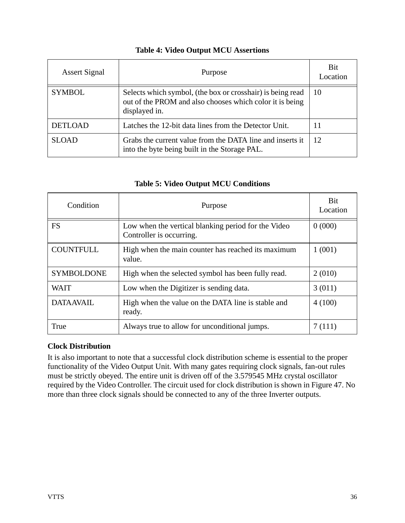| <b>Assert Signal</b> | Purpose                                                                                                                                 | Bit<br>Location |
|----------------------|-----------------------------------------------------------------------------------------------------------------------------------------|-----------------|
| <b>SYMBOL</b>        | Selects which symbol, (the box or crosshair) is being read<br>out of the PROM and also chooses which color it is being<br>displayed in. | 10              |
| <b>DETLOAD</b>       | Latches the 12-bit data lines from the Detector Unit.                                                                                   |                 |
| <b>SLOAD</b>         | Grabs the current value from the DATA line and inserts it<br>into the byte being built in the Storage PAL.                              | 12              |

# **Table 4: Video Output MCU Assertions**

# **Table 5: Video Output MCU Conditions**

| Condition         | Purpose                                                                         | <b>Bit</b><br>Location |
|-------------------|---------------------------------------------------------------------------------|------------------------|
| <b>FS</b>         | Low when the vertical blanking period for the Video<br>Controller is occurring. | 0(000)                 |
| <b>COUNTFULL</b>  | High when the main counter has reached its maximum<br>value.                    | 1(001)                 |
| <b>SYMBOLDONE</b> | High when the selected symbol has been fully read.                              | 2(010)                 |
| <b>WAIT</b>       | Low when the Digitizer is sending data.                                         | 3(011)                 |
| <b>DATAAVAIL</b>  | High when the value on the DATA line is stable and<br>ready.                    | 4(100)                 |
| True              | Always true to allow for unconditional jumps.                                   | 7(111)                 |

## **Clock Distribution**

It is also important to note that a successful clock distribution scheme is essential to the proper functionality of the Video Output Unit. With many gates requiring clock signals, fan-out rules must be strictly obeyed. The entire unit is driven off of the 3.579545 MHz crystal oscillator required by the Video Controller. The circuit used for clock distribution is shown in Figure 47. No more than three clock signals should be connected to any of the three Inverter outputs.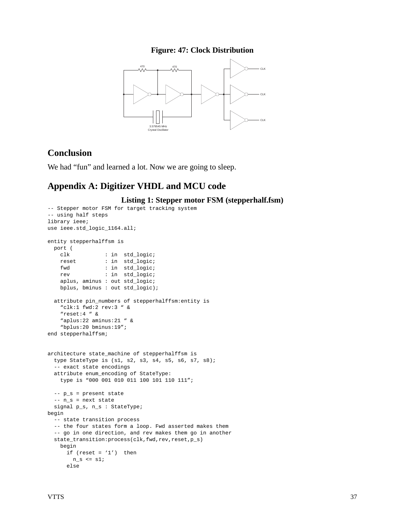## **Figure: 47: Clock Distribution**



# **Conclusion**

We had "fun" and learned a lot. Now we are going to sleep.

# **Appendix A: Digitizer VHDL and MCU code**

**Listing 1: Stepper motor FSM (stepperhalf.fsm)**

```
-- Stepper motor FSM for target tracking system
-- using half steps
library ieee;
use ieee.std_logic_1164.all;
entity stepperhalffsm is
  port (
     clk : in std_logic;
     reset : in std_logic;
   fwd : in std_logic;
   rev : in std_logic;
     aplus, aminus : out std_logic;
     bplus, bminus : out std_logic);
   attribute pin_numbers of stepperhalffsm:entity is
     "clk:1 fwd:2 rev:3 " &
     "reset:4 " &
     "aplus:22 aminus:21 " &
     "bplus:20 bminus:19";
end stepperhalffsm;
architecture state_machine of stepperhalffsm is
   type StateType is (s1, s2, s3, s4, s5, s6, s7, s8);
   -- exact state encodings
   attribute enum_encoding of StateType:
    type is "000 001 010 011 100 101 110 111";
   -- p_s = present state
   -- n_s = next state
  signal p_s, n_s : StateType;
begin
   -- state transition process
   -- the four states form a loop. Fwd asserted makes them
   -- go in one direction, and rev makes them go in another
   state_transition:process(clk,fwd,rev,reset,p_s)
     begin
     if (reset = '1') then
       n_s \leq s1;
      else
```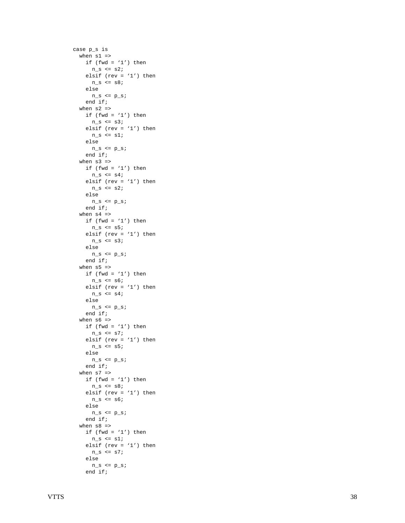```
 case p_s is
  when s1 =>
   if (fwd = '1') then
     n_s \leq s2;elsif (rev = '1') then
     n_s \leq s8; else
     n_s \le p_s;
     end if;
  when s2 \Rightarrowif (fwd = '1') then
     n_s \leq s3;elsif (rev = '1') then
     n_s \leq s1; else
     n_s \le p_s;
     end if;
   when s3 =>
   if (fwd = '1') then
     n_s \leq s4; elsif (rev = '1') then
     n_s \leq s2; else
     n_s \le p_s;
     end if;
  when s4 =>
    if (fwd = '1') then
     n_s \leq s5;
    elsif (rev = '1') then
     n_s \leq s3;
     else
     n_s \le p_s;
     end if;
  when s5 =>
    if (fwd = '1') then
     n_s \leq s6;
     elsif (rev = '1') then
     n_s \leq s4; else
     n_s \le p_s;
     end if;
   when s6 =>
   if (fwd = '1') then
     n s \leq s7;
    elsif (rev = '1') then
     n_s \leq s5;
     else
     n_s \le p_s;
     end if;
   when s7 =>
   if (fwd = '1') then
     n_s \leq s8;elsif (rev = '1') then
     n_s \leq s6;
     else
     n_s \le p_s;
     end if;
  when s8 \Rightarrowif (fwd = '1') then
     n_s \leq s1;elsif (rev = '1') then
     n_s \leq s else
     n_s \le p_s;
     end if;
```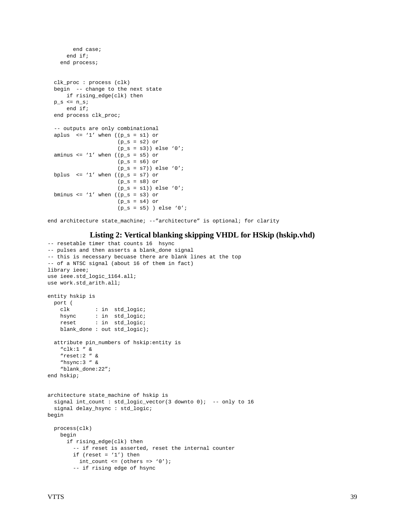```
 end case;
     end if;
   end process;
 clk_proc : process (clk)
 begin -- change to the next state
     if rising_edge(clk) then
p_s \leq n_s; end if;
 end process clk_proc;
 -- outputs are only combinational
aplus \leq '1' when ((p_s = s1) or
                     (p_s = s2) or
                     (p_s = s3)) else '0';
aminus \leq 1' when ((p_s = s5) or
                     (p_s = s6) or
                     (p_s = s7)) else '0';
bplus \leq '1' when ((p_s = s7) or
                     (p_s = s8) or
                     (p_s = s1)) else '0';
bminus \leq '1' when ((p_s = s3) or
                     (p_s = s4) or
                     (p_s = s5) ) else '0';
```
end architecture state\_machine; --"architecture" is optional; for clarity

#### **Listing 2: Vertical blanking skipping VHDL for HSkip (hskip.vhd)**

```
-- resetable timer that counts 16 hsync
-- pulses and then asserts a blank_done signal
-- this is necessary becuase there are blank lines at the top
-- of a NTSC signal (about 16 of them in fact)
library ieee;
use ieee.std_logic_1164.all;
use work.std_arith.all;
entity hskip is
   port (
    clk : in std_logic;
   hsync : in std_logic;
    reset : in std_logic;
    blank_done : out std_logic);
   attribute pin_numbers of hskip:entity is
    "clk:1 " &
     "reset:2 " &
     "hsync:3 " &
     "blank_done:22";
end hskip;
architecture state_machine of hskip is
   signal int_count : std_logic_vector(3 downto 0); -- only to 16
   signal delay_hsync : std_logic;
begin
   process(clk)
     begin
       if rising_edge(clk) then
         -- if reset is asserted, reset the internal counter
        if (reset = '1') then
         int\_count \le (others \Rightarrow '0');
         -- if rising edge of hsync
```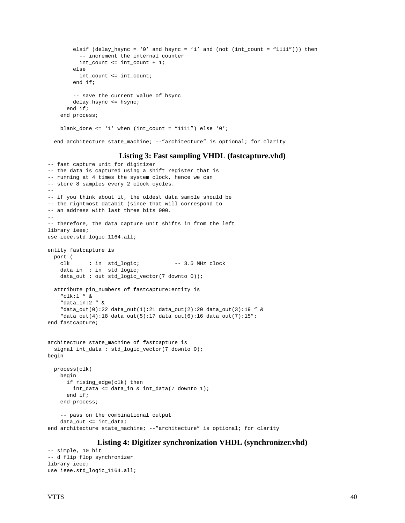```
elsif (delay_hsync = '0' and hsync = '1' and (not (int_count = "1111"))) then
         -- increment the internal counter
         int_count <= int_count + 1;
       else
         int_count <= int_count;
       end if;
       -- save the current value of hsync
       delay_hsync <= hsync;
     end if;
  end process;
 blank_done <= '1' when (int_count = "1111") else '0';
 end architecture state_machine; --"architecture" is optional; for clarity
```
#### **Listing 3: Fast sampling VHDL (fastcapture.vhd)**

```
-- fast capture unit for digitizer
-- the data is captured using a shift register that is
-- running at 4 times the system clock, hence we can
-- store 8 samples every 2 clock cycles.
--
-- if you think about it, the oldest data sample should be
-- the rightmost databit (since that will correspond to
-- an address with last three bits 000.
--
-- therefore, the data capture unit shifts in from the left
library ieee;
use ieee.std_logic_1164.all;
entity fastcapture is
  port (
    clk : in std_logic; -- 3.5 MHz clock
     data_in : in std_logic;
    data_out : out std_logic_vector(7 downto 0));
   attribute pin_numbers of fastcapture:entity is
     "clk:1 " &
     "data_in:2 " &
     "data_out(0):22 data_out(1):21 data_out(2):20 data_out(3):19 " &
     "data_out(4):18 data_out(5):17 data_out(6):16 data_out(7):15";
end fastcapture;
architecture state_machine of fastcapture is
  signal int_data : std_logic_vector(7 downto 0);
begin
   process(clk)
    begin
      if rising_edge(clk) then
        int_data <= data_in & int_data(7 downto 1);
       end if;
    end process;
     -- pass on the combinational output
     data_out <= int_data;
end architecture state_machine; --"architecture" is optional; for clarity
```
#### **Listing 4: Digitizer synchronization VHDL (synchronizer.vhd)**

```
-- simple, 10 bit
-- d flip flop synchronizer
library ieee;
use ieee.std_logic_1164.all;
```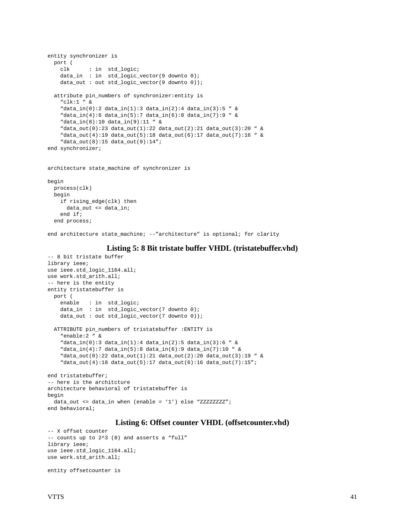```
entity synchronizer is
  port (
    clk : in std_logic;
    data_in : in std_logic_vector(9 downto 0);
    data_out : out std_logic_vector(9 downto 0));
   attribute pin_numbers of synchronizer:entity is
    "clk:1 " &
    "data_in(0):2 data_in(1):3 data_in(2):4 data_in(3):5 " &
     "data_in(4):6 data_in(5):7 data_in(6):8 data_in(7):9 " &
     "data_in(8):10 data_in(9):11 " &
     "data_out(0):23 data_out(1):22 data_out(2):21 data_out(3):20 " &
    "data_out(4):19 data_out(5):18 data_out(6):17 data_out(7):16 " &
    "data_out(8):15 data_out(9):14";
end synchronizer;
architecture state_machine of synchronizer is
begin
```

```
 process(clk)
 begin
   if rising_edge(clk) then
    data_out <= data_in;
   end if;
 end process;
```
end architecture state machine; --"architecture" is optional; for clarity

#### **Listing 5: 8 Bit tristate buffer VHDL (tristatebuffer.vhd)**

```
-- 8 bit tristate buffer
library ieee;
use ieee.std_logic_1164.all;
use work.std_arith.all;
-- here is the entity
entity tristatebuffer is
  port (
     enable : in std_logic;
   data_in : in std_logic_vector(7 downto 0);
    data_out : out std_logic_vector(7 downto 0));
   ATTRIBUTE pin_numbers of tristatebuffer :ENTITY is
    "enable:2 " &
     "data_in(0):3 data_in(1):4 data_in(2):5 data_in(3):6 " &
     "data_in(4):7 data_in(5):8 data_in(6):9 data_in(7):10 " &
     "data_out(0):22 data_out(1):21 data_out(2):20 data_out(3):19 " &
     "data_out(4):18 data_out(5):17 data_out(6):16 data_out(7):15";
end tristatebuffer;
-- here is the architcture
architecture behavioral of tristatebuffer is
begin
   data_out <= data_in when (enable = '1') else "ZZZZZZZZ";
end behavioral;
```
#### **Listing 6: Offset counter VHDL (offsetcounter.vhd)**

```
-- X offset counter
-- counts up to 2^3 (8) and asserts a "full"
library ieee;
use ieee.std_logic_1164.all;
use work.std_arith.all;
```
entity offsetcounter is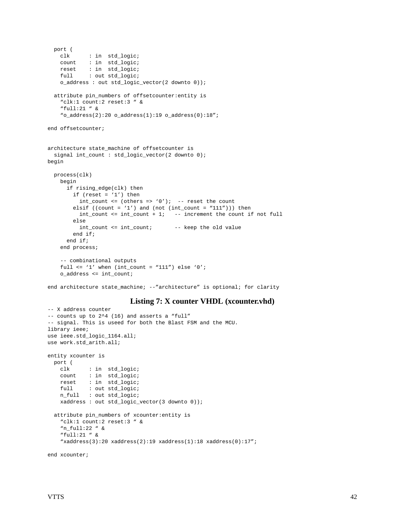```
 port (
    clk : in std logic;
     count : in std_logic;
     reset : in std_logic;
   full : out std logic;
     o_address : out std_logic_vector(2 downto 0));
   attribute pin_numbers of offsetcounter:entity is
     "clk:1 count:2 reset:3 " &
     "full:21 " &
    "o address(2):20 o address(1):19 o address(0):18";
end offsetcounter;
architecture state_machine of offsetcounter is
   signal int_count : std_logic_vector(2 downto 0);
begin
  process(clk)
    begin
       if rising_edge(clk) then
       if (reset = '1') then
         int_count <= (others => '0'); -- reset the count
        elsif ((count = '1') and (not (int_count = ''111'))) then
         int_{\text{count}} <= int_count + 1; -- increment the count if not full
         else
          int_count <= int_count; -- keep the old value
         end if;
       end if;
     end process;
     -- combinational outputs
    full \le '1' when (int_count = "111") else '0';
    o_address <= int_count;
```
end architecture state\_machine; --"architecture" is optional; for clarity

## **Listing 7: X counter VHDL (xcounter.vhd)**

```
-- X address counter
-- counts up to 2^4 (16) and asserts a "full"
-- signal. This is useed for both the Blast FSM and the MCU.
library ieee;
use ieee.std_logic_1164.all;
use work.std_arith.all;
entity xcounter is
  port (
    clk : in std_logic;
    count : in std_logic;
    reset : in std_logic;
   full : out std_logic;
    n_full : out std_logic;
    xaddress : out std_logic_vector(3 downto 0));
   attribute pin_numbers of xcounter:entity is
     "clk:1 count:2 reset:3 " &
     "n_full:22 " &
     "full:21 " &
     "xaddress(3):20 xaddress(2):19 xaddress(1):18 xaddress(0):17";
```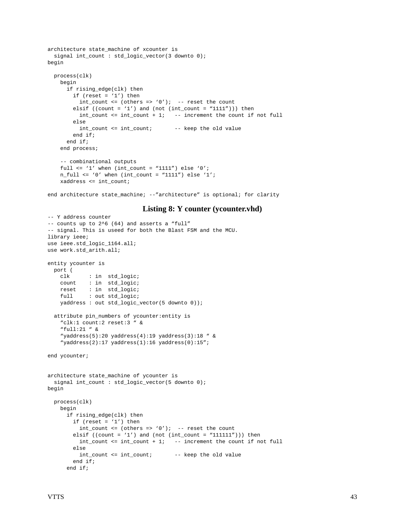```
architecture state_machine of xcounter is
 signal int count : std logic vector(3 downto 0);
begin
  process(clk)
    begin
       if rising_edge(clk) then
        if (reset = '1') then
          int_{\text{count}} <= (others => '0'); -- reset the count
        elsif ((count = '1') and (not (int_count = "1111"))) then
          int\_count \leq int\_count + 1; -- increment the count if not full
         else
           int_count <= int_count; -- keep the old value
         end if;
       end if;
     end process;
     -- combinational outputs
    full \le '1' when (int_count = "1111") else '0';
    n_full <= '0' when (int\_count = "1111") else '1';
     xaddress <= int_count;
```
end architecture state\_machine; --"architecture" is optional; for clarity

### **Listing 8: Y counter (ycounter.vhd)**

```
-- Y address counter
-- counts up to 2^6 (64) and asserts a "full"
-- signal. This is useed for both the Blast FSM and the MCU.
library ieee;
use ieee.std_logic_1164.all;
use work.std_arith.all;
entity ycounter is
  port (
    clk : in std_logic;
    count : in std_logic;
    reset : in std_logic;
   full : out std_logic;
    yaddress : out std_logic_vector(5 downto 0));
   attribute pin_numbers of ycounter:entity is
     "clk:1 count:2 reset:3 " &
    "full:21 " &
     "yaddress(5):20 yaddress(4):19 yaddress(3):18 " &
     "yaddress(2):17 yaddress(1):16 yaddress(0):15";
end ycounter;
architecture state_machine of ycounter is
  signal int_count : std_logic_vector(5 downto 0);
begin
  process(clk)
    begin
       if rising_edge(clk) then
        if (reset = '1') then
          int\_count \leq (others \Rightarrow '0'); -- reset the count
        elsif ((count = '1') and (not (int_count = ''111111'))) then
           int_count <= int_count + 1; -- increment the count if not full
        else
          int_count <= int_count; -- keep the old value
        end if;
       end if;
```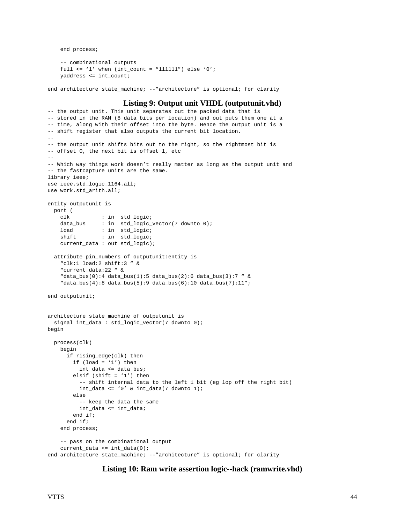end process;

```
 -- combinational outputs
full \le '1' when (int_count = "111111") else '0';
 yaddress <= int_count;
```
end architecture state\_machine; --"architecture" is optional; for clarity

#### **Listing 9: Output unit VHDL (outputunit.vhd)**

```
-- the output unit. This unit separates out the packed data that is
-- stored in the RAM (8 data bits per location) and out puts them one at a
-- time, along with their offset into the byte. Hence the output unit is a
-- shift register that also outputs the current bit location.
--
-- the output unit shifts bits out to the right, so the rightmost bit is
-- offset 0, the next bit is offset 1, etc
--
-- Which way things work doesn't really matter as long as the output unit and
-- the fastcapture units are the same.
library ieee;
use ieee.std_logic_1164.all;
use work.std arith.all;
entity outputunit is
  port (
    clk : in std_logic;
   data_bus : in std_logic_vector(7 downto 0);
    load : in std_logic;
    shift : in std_logic;
     current_data : out std_logic);
   attribute pin_numbers of outputunit:entity is
     "clk:1 load:2 shift:3 " &
     "current_data:22 " &
     "data_bus(0):4 data_bus(1):5 data_bus(2):6 data_bus(3):7 " &
     "data_bus(4):8 data_bus(5):9 data_bus(6):10 data_bus(7):11";
end outputunit;
architecture state_machine of outputunit is
   signal int_data : std_logic_vector(7 downto 0);
begin
   process(clk)
    begin
       if rising_edge(clk) then
        if (\text{load} = '1') then
           int_data <= data_bus;
        elsif (shift = '1') then
           -- shift internal data to the left 1 bit (eg lop off the right bit)
          int_data <= '0' & int_data(7 downto 1);
         else
           -- keep the data the same
         int data <= int data;
         end if;
       end if;
     end process;
     -- pass on the combinational output
   current data \leq int data(0);
end architecture state_machine; --"architecture" is optional; for clarity
```
#### **Listing 10: Ram write assertion logic--hack (ramwrite.vhd)**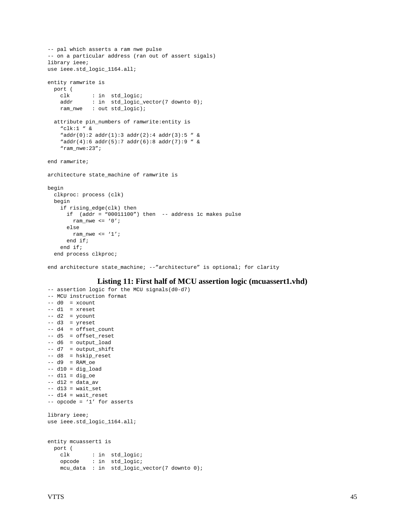```
-- pal which asserts a ram nwe pulse
-- on a particular address (ran out of assert sigals)
library ieee;
use ieee.std_logic_1164.all;
entity ramwrite is
  port (
    clk : in std_logic;
   addr : in std_logic_vector(7 downto 0);
    ram_nwe : out std_logic);
  attribute pin_numbers of ramwrite:entity is
     "clk:1 " &
   "addr(0):2 addr(1):3 addr(2):4 addr(3):5 " &
    "addr(4):6 addr(5):7 addr(6):8 addr(7):9 " &
    "ram_nwe:23";
end ramwrite;
architecture state machine of ramwrite is
begin
  clkproc: process (clk)
  begin
    if rising_edge(clk) then
      if (addr = "00011100") then -- address 1c makes pulse
        ram_nwe <= '0';
      else
      ram nwe \leq '1';
      end if;
    end if;
   end process clkproc;
```
end architecture state\_machine; --"architecture" is optional; for clarity

## **Listing 11: First half of MCU assertion logic (mcuassert1.vhd)**

```
-- assertion logic for the MCU signals(d0-d7)
-- MCU instruction format
-- d0 = xcount-- d1 = xreset
-- d2 = ycount
-- d3 = yreset
-- d4 = offset_count
-- d5 = offset_reset
-- d6 = output_load
-- d7 = output_shift
-- d8 = hskip_reset
-- d9 = RAM\_oe-- d10 = dig_load
-- d11 = dig_oe
-- d12 = data_av
-- dl3 = wait_set
-- d14 = wait_reset
-- opcode = '1' for asserts
library ieee;
use ieee.std_logic_1164.all;
entity mcuassert1 is
  port (
    clk : in std_logic;
    opcode : in std_logic;
    mcu_data : in std_logic_vector(7 downto 0);
```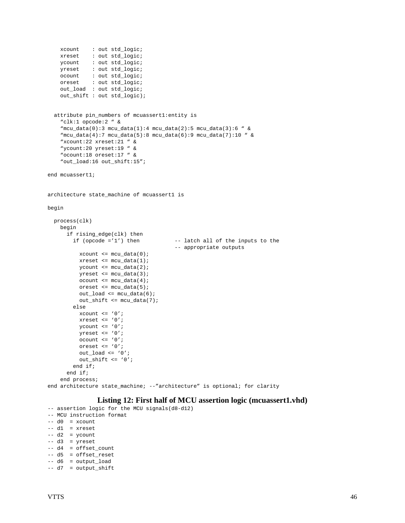```
 xcount : out std_logic;
    xreset : out std_logic;<br>
xreset : out std_logic;
 ycount : out std_logic;
 yreset : out std_logic;
     ocount : out std_logic;
     oreset : out std_logic;
     out_load : out std_logic;
     out_shift : out std_logic);
   attribute pin_numbers of mcuassert1:entity is
     "clk:1 opcode:2 " &
     "mcu_data(0):3 mcu_data(1):4 mcu_data(2):5 mcu_data(3):6 " &
     "mcu_data(4):7 mcu_data(5):8 mcu_data(6):9 mcu_data(7):10 " &
     "xcount:22 xreset:21 " &
     "ycount:20 yreset:19 " &
     "ocount:18 oreset:17 " &
     "out_load:16 out_shift:15";
end mcuassert1;
architecture state_machine of mcuassert1 is
begin
   process(clk)
     begin
       if rising_edge(clk) then
        if (opcode ='1') then - latch all of the inputs to the
                                          -- appropriate outputs
          xcount \leq mcu\_data(0); xreset <= mcu_data(1);
          ycount \leq mcu_data(2);
          yreset \leq mcu data(3);
           ocount <= mcu_data(4);
           oreset <= mcu_data(5);
           out_load <= mcu_data(6);
           out_shift <= mcu_data(7);
         else
          xcount \leq '0';
          xreset <= '0'iycount \leq '0';
           yreset <= '0';
           ocount <= '0';
           oreset <= '0';
          out\_load \leq '0'; out_shift <= '0';
         end if;
       end if;
     end process;
end architecture state_machine; --"architecture" is optional; for clarity
```
#### **Listing 12: First half of MCU assertion logic (mcuassert1.vhd)**

```
-- assertion logic for the MCU signals(d8-d12)
-- MCU instruction format
-- d0 = xcount-- d1 = xreset
-- d2 = ycount-- d3 = yreset- - d4 = offset count-- d5 = offset_reset
-- d6 = output_load
```

```
-- d7 = output_shift
```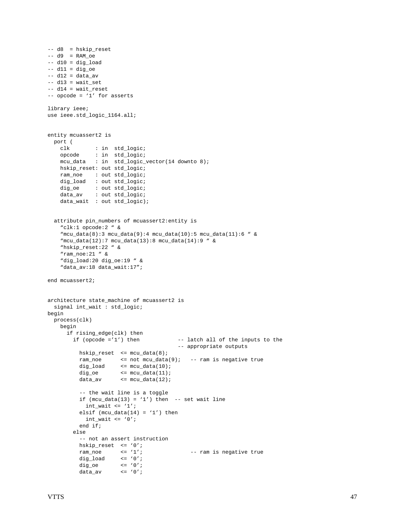```
-- d8 = hskip_reset
-- d9 = RAM oe
-- d10 = dig_load
-- d11 = dig_oe
-- d12 = data av
-- d13 = wait_set
-- dl4 = wait_reset
-- opcode = '1' for asserts
library ieee;
use ieee.std_logic_1164.all;
entity mcuassert2 is
  port (
    clk : in std_logic;
     opcode : in std_logic;
     mcu_data : in std_logic_vector(14 downto 8);
   hskip_reset: out std_logic;<br>ram_noe : out std_logic;
             : out std_logic;
     dig_load : out std_logic;
    dig_oe : out std_logic;
   data_av : out std_logic;<br>data_av : out std_logic;
     data_wait : out std_logic);
   attribute pin_numbers of mcuassert2:entity is
     "clk:1 opcode:2 " &
    \lceil \text{mcu\_data}(8) : 3 \text{mcu\_data}(9) : 4 \text{mcu\_data}(10) : 5 \text{mcu\_data}(11) : 6 \rceil &
     "mcu_data(12):7 mcu_data(13):8 mcu_data(14):9 " &
     "hskip_reset:22 " &
     "ram_noe:21 " &
     "dig_load:20 dig_oe:19 " &
     "data_av:18 data_wait:17";
end mcuassert2;
architecture state_machine of mcuassert2 is
  signal int_wait : std_logic;
begin
  process(clk)
    begin
       if rising_edge(clk) then
        if (opcode ='1') then - latch all of the inputs to the
                                            -- appropriate outputs
           hskip_reset <= mcu_data(8);
           ram_noe <= not mcu_data(9); -- ram is negative true
          dig\_load <= mcu\_data(10);
          dig\_{oe} <= mcu\_{data(11)};
          data_av <= mcu_data(12);
           -- the wait line is a toggle
          if (mcu\_data(13) = '1') then -- set wait line
            int\_wait \leq '1';elsif (mcu\_data(14) = '1') then
            int\_wait \leq '0'i end if;
         else
            -- not an assert instruction
          hskip_reset \langle 0' \rangle<br>ram noe \langle 0' \rangleram_noe \leq'1'; \leq -- ram is negative true
          dig_load \leq '0';
dig\_{oe} <= '0';
data_av <= '0';
```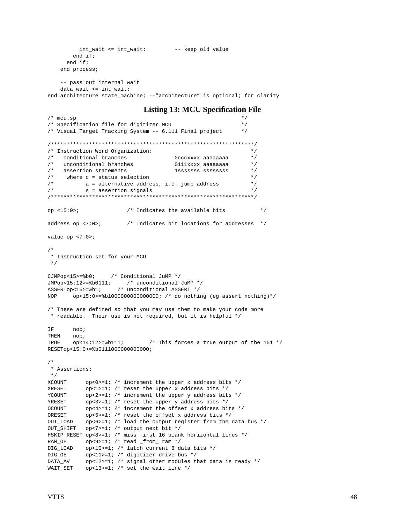```
int_wait <= int_wait; -- keep old value
        end if;
       end if;
     end process;
     -- pass out internal wait
    data_wait <= int_wait;
end architecture state_machine; --"architecture" is optional; for clarity
                             Listing 13: MCU Specification File
/* mcu.sp
/* Specification file for digitizer MCU */
/* Visual Target Tracking System -- 6.111 Final project
/****************************************************************/
/* Instruction Word Organization: */
\hspace{.1cm} /* conditional branches \hspace{.1cm} 0cccxxxx aaaaaaaa */
/* unconditional branches 0111xxxx aaaaaaaa */
/* assertion statements 1sssssss ssssssss */
/* where c = status selection \frac{\ast}{\sqrt{\ast}} a = alternative address, i.e. jump address \frac{\ast}{\sqrt{\ast}}\frac{7}{10} a = alternative address, i.e. jump address \frac{2}{10} */<br>\frac{7}{10} s = assertion signals
/* s = assertion signals
/****************************************************************/
op <15:0>; \hspace{1.6cm} /* Indicates the available bits */
address op <7:0>; /* Indicates bit locations for addresses */
value op <7:0>;
/*
  * Instruction set for your MCU
 */
CJMPop<15>=%b0; /* Conditional JuMP */
JMPop<15:12>=%b0111; /* unconditional JuMP */
ASSERTop<15>=%b1; /* unconditional ASSERT */
NOP op<15:0>=%b1000000000000000; /* do nothing (eg assert nothing)*/
/* These are defined so that you may use them to make your code more
 * readable. Their use is not required, but it is helpful */
IF nop;
THEN nop;
TRUE \qquad \text{op} < 14:12 >= \$\text{b}111; /* This forces a true output of the 151 */
RESETop<15:0>=%b0111000000000000;
/*
 * Assertions:
 */
XCOUNT op<0>=1; /* increment the upper x address bits */XRESET op<1>=1; /* reset the upper x address bits */YCOUNT op<2>=1; /* increment the upper y address bits */
```
YRESET op<3>=1; /\* reset the upper y address bits \*/ OCOUNT op<4>=1; /\* increment the offset x address bits \*/ ORESET op<5>=1; /\* reset the offset x address bits \*/

DIG LOAD op<10>=1; /\* latch current 8 data bits \*/ DIG\_OE op<11>=1; /\* digitizer drive bus \*/

OUT\_SHIFT op<7>=1; /\* output next bit \*/

RAM\_OE  $op < 9 > = 1;$  /\* read \_from\_ ram \*/

WAIT\_SET op<13>=1;  $/*$  set the wait line  $*/$ 

OUT\_LOAD op<6>=1; /\* load the output register from the data bus \*/

DATA\_AV op<12>=1; /\* signal other modules that data is ready \*/

HSKIP\_RESET op<8>=1; /\* miss first 16 blank horizontal lines \*/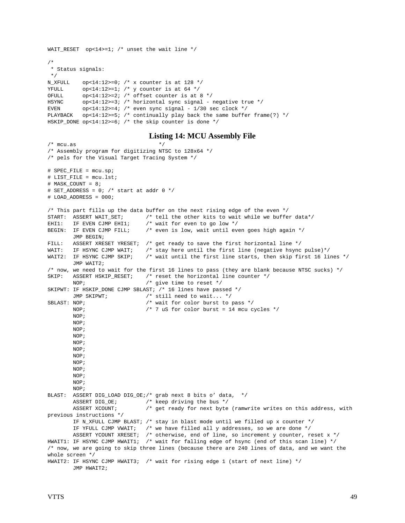```
WAIT_RESET op<14>=1; /* unset the wait line */
/*
 * Status signals:
  */
N_XFULL op<14:12>=0; /* x counter is at 128 */
YFULL op<14:12>=1; /* y counter is at 64 */OFULL op<14:12>=2; /* offset counter is at 8 */
HSYNC op<14:12>=3; /* horizontal sync signal - negative true */
EVEN op<14:12>=4; /* even sync signal - 1/30 sec clock */
PLAYBACK op<14:12>=5; /* continually play back the same buffer frame(?) */
HSKIP_DONE op<14:12>=6; /* the skip counter is done */
```
#### **Listing 14: MCU Assembly File**

```
/* mcu.as */* Assembly program for digitizing NTSC to 128x64 */
/* pels for the Visual Target Tracing System */
# SPEC_FILE = mcu.sp;
# LIST_FILE = mcu.lst;
# MASK_COUNT = 8;
# SET ADDRESS = 0; /* start at addr 0 */
# LOAD_ADDRESS = 000;
/* This part fills up the data buffer on the next rising edge of the even */
START: ASSERT WAIT_SET; <br>EHI1: IF EVEN CJMP EHI1; /* wait for even to go low */
EHI1: IF EVEN CJMP EHI1; \prime wait for even to go low */<br>BEGIN: IF EVEN CJMP FILL; \prime even is low, wait until even
                               /* even is low, wait until even goes high again */ JMP BEGIN;
FILL: ASSERT XRESET YRESET; /* get ready to save the first horizontal line */<br>WAIT: IF HSYNC CJMP WAIT; /* stay here until the first line (negative hsync
                               /* stay here until the first line (negative hsync pulse)*/
WAIT2: IF HSYNC CJMP SKIP; /* wait until the first line starts, then skip first 16 lines */
        JMP WAIT2;
/* now, we need to wait for the first 16 lines to pass (they are blank because NTSC sucks) */
SKIP: ASSERT HSKIP_RESET; /* reset the horizontal line counter */
       NOP; \frac{1}{2} /* give time to reset */
SKIPWT: IF HSKIP DONE CJMP SBLAST; /* 16 lines have passed */JMP SKIPWT; \frac{1}{2} /* still need to wait... */
SBLAST: NOP; \frac{1}{2} /* wait for color burst to pass */
       NOP; \frac{1}{2} /* 7 uS for color burst = 14 mcu cycles */
        NOP;
        NOP;
        NOP;
        NOP;
         NOP;
         NOP;
         NOP;
         NOP;
        NOP;
        NOP;
        NOP;
        NOP;
BLAST: ASSERT DIG_LOAD DIG_OE;/* grab next 8 bits o' data, */
       ASSERT DIG_OE; \overline{\phantom{a}} /* keep driving the bus */
       ASSERT XCOUNT; \frac{1}{2} aet ready for next byte (ramwrite writes on this address, with
previous instructions */
         IF N_XFULL CJMP BLAST; /* stay in blast mode until we filled up x counter */
        IF YFULL CJMP VWAIT; \prime* we have filled all y addresses, so we are done */
        ASSERT YCOUNT XRESET; /* otherwise, end of line, so increment y counter, reset x */
HWAIT1: IF HSYNC CJMP HWAIT1; /* wait for falling edge of hsync (end of this scan line) */
/* now, we are going to skip three lines (because there are 240 lines of data, and we want the
whole screen */
HWAIT2: IF HSYNC CJMP HWAIT3; /* wait for rising edge 1 (start of next line) */
         JMP HWAIT2;
```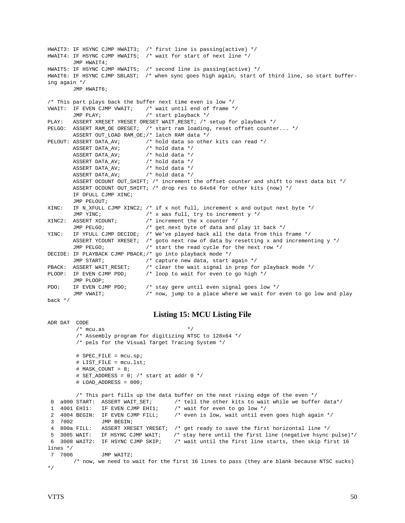HWAIT3: IF HSYNC CJMP HWAIT3; /\* first line is passing(active) \*/ HWAIT4: IF HSYNC CJMP HWAIT5; /\* wait for start of next line \*/ JMP HWAIT4; HWAIT5: IF HSYNC CJMP HWAIT5; /\* second line is passing(active) \*/ HWAIT6: IF HSYNC CJMP SBLAST; /\* when sync goes high again, start of third line, so start buffering again \*/ JMP HWAIT6; /\* This part plays back the buffer next time even is low \*/ VWAIT: IF EVEN CJMP VWAIT; /\* wait until end of frame \*/ JMP PLAY; /\* start playback \*/ PLAY: ASSERT XRESET YRESET ORESET WAIT\_RESET; /\* setup for playback \*/ PELGO: ASSERT RAM\_OE ORESET; /\* start ram loading, reset offset counter... \*/ ASSERT OUT\_LOAD RAM\_OE;/\* latch RAM data \*/ PELOUT: ASSERT DATA\_AV;  $\overline{\phantom{a}}$  /\* hold data so other kits can read \*/ ASSERT DATA\_AV; /\* hold data \*/ ASSERT DATA\_AV; /\* hold data \*/ ASSERT DATA\_AV; <br>ASSERT DATA\_AV; <br>/\* hold data \*/ ASSERT DATA\_AV; ASSERT DATA\_AV; /\* hold data \*/ ASSERT OCOUNT OUT\_SHIFT; /\* increment the offset counter and shift to next data bit \*/ ASSERT OCOUNT OUT\_SHIFT; /\* drop res to 64x64 for other kits (now) \*/ IF OFULL CJMP XINC; JMP PELOUT; XINC: IF N\_XFULL CJMP XINC2;  $/*$  if x not full, increment x and output next byte  $*/$  JMP YINC; /\* x was full, try to increment y \*/ XINC2: ASSERT XCOUNT; /\* increment the x counter \*/ JMP PELGO; /\* get next byte of data and play it back \*/ YINC: IF YFULL CJMP DECIDE; /\* We've played back all the data from this frame \*/ ASSERT YCOUNT XRESET; /\* goto next row of data by resetting x and incrementing y \*/ JMP PELGO; /\* start the read cycle for the next row \*/ DECIDE: IF PLAYBACK CJMP PBACK;/\* go into playback mode \*/ JMP START;  $/$ \* capture new data, start again \*/<br>PBACK: ASSERT WAIT RESET;  $/$ \* clear the wait signal in prep for /\* clear the wait signal in prep for playback mode \*/ PLOOP: IF EVEN CJMP PDO; /\* loop to wait for even to go high \*/ JMP PLOOP; PDO: IF EVEN CJMP PDO;  $\prime$  stay gere until even signal goes low \*/<br>JMP VWAIT;  $\prime$  \* now, jump to a place where we wait for /\* now, jump to a place where we wait for even to go low and play back \*/ **Listing 15: MCU Listing File** ADR DAT CODE  $/*$  mcu.as  $*$ / /\* Assembly program for digitizing NTSC to 128x64 \*/ /\* pels for the Visual Target Tracing System \*/ # SPEC\_FILE = mcu.sp; # LIST\_FILE = mcu.lst; # MASK\_COUNT = 8; # SET\_ADDRESS =  $0:$  /\* start at addr  $0 *$ / # LOAD\_ADDRESS = 000; /\* This part fills up the data buffer on the next rising edge of the even \*/ 0 a000 START: ASSERT WAIT\_SET;  $\prime$  tell the other kits to wait while we buffer data\*/<br>1 4001 EHI1: IF EVEN CJMP EHI1;  $\prime$  wait for even to go low \*/ 1 4001 EHI1: IF EVEN CJMP EHI1; 2 4004 BEGIN: IF EVEN CJMP FILL; /\* even is low, wait until even goes high again \*/ 3 7002 JMP BEGIN; 4 800a FILL: ASSERT XRESET YRESET; /\* get ready to save the first horizontal line \*/ 5 3005 WAIT: IF HSYNC CJMP WAIT; /\* stay here until the first line (negative hsync pulse)\*/<br>6 3008 WAIT2: IF HSYNC CJMP SKIP; /\* wait until the first line starts, then skip first 16  $/$ \* wait until the first line starts, then skip first 16 lines \*/ 7 7006 JMP WAIT2; /\* now, we need to wait for the first 16 lines to pass (they are blank because NTSC sucks)

\*/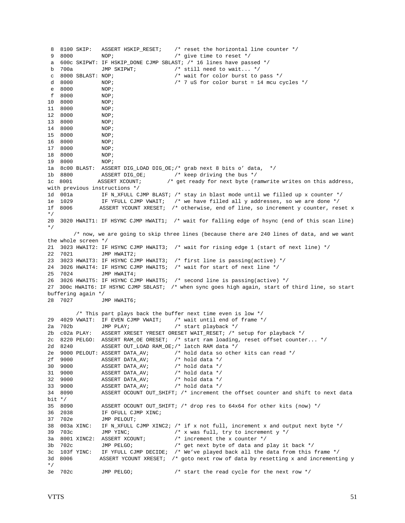```
 8 8100 SKIP: ASSERT HSKIP_RESET; /* reset the horizontal line counter */
 9 8000 NOP; /* give time to reset */
 a 600c SKIPWT: IF HSKIP_DONE CJMP SBLAST; /* 16 lines have passed */
 b 700a JMP SKIPWT; /* still need to wait... */
 c 8000 SBLAST: NOP; /* wait for color burst to pass */
d 8000 NOP; \frac{1}{2} /* 7 uS for color burst = 14 mcu cycles */
 e 8000 NOP;
 f 8000 NOP;
10 8000 NOP;<br>11 8000 NOP;
11 8000
12 8000 NOP;
13 8000 NOP;
14 8000 NOP;<br>15 8000 NOP;
15 8000
16 8000 NOP;
17 8000 NOP;
18 8000 NOP;
19 8000 NOP;
1a 8c00 BLAST: ASSERT DIG_LOAD DIG_OE;/* grab next 8 bits o' data, */
1b 8800 ASSERT DIG_OE; /* keep driving the bus */
1c 8001 ASSERT XCOUNT; /* get ready for next byte (ramwrite writes on this address,
with previous instructions */
1d 001a IF N_XFULL CJMP BLAST; /* stay in blast mode until we filled up x counter */
1e 1029 IF YFULL CJMP VWAIT; /* we have filled all y addresses, so we are done */<br>1f 8006 ASSERT YCOUNT XRESET; /* otherwise, end of line, so increment y counter, res
              ASSERT YCOUNT XRESET; /* otherwise, end of line, so increment y counter, reset x
*/
20 3020 HWAIT1: IF HSYNC CJMP HWAIT1; /* wait for falling edge of hsync (end of this scan line)
*/
       /* now, we are going to skip three lines (because there are 240 lines of data, and we want
the whole screen */
21 3023 HWAIT2: IF HSYNC CJMP HWAIT3; /* wait for rising edge 1 (start of next line) */<br>22 7021 ... IMP HWAIT2:
               JMP HWAIT2;
23 3023 HWAIT3: IF HSYNC CJMP HWAIT3; /* first line is passing(active) */
24 3026 HWAIT4: IF HSYNC CJMP HWAIT5; /* wait for start of next line */
25 7024 JMP HWAIT4;
26 3026 HWAIT5: IF HSYNC CJMP HWAIT5; /* second line is passing(active) */
27 300c HWAIT6: IF HSYNC CJMP SBLAST; /* when sync goes high again, start of third line, so start
buffering again */
28 7027 JMP HWAIT6;
         /* This part plays back the buffer next time even is low */
29 4029 VWAIT: IF EVEN CJMP VWAIT; \frac{1}{2} wait until end of frame \frac{*}{2}<br>2a 702b JMP PLAY; \frac{1}{2} /* start playback \frac{*}{2}/* start playback */
2b c02a PLAY: ASSERT XRESET YRESET ORESET WAIT RESET; /* setup for playback */
2c 8220 PELGO: ASSERT RAM_OE ORESET; /* start ram loading, reset offset counter... */
2d 8240 ASSERT OUT_LOAD RAM_OE;/* latch RAM data */
2e 9000 PELOUT: ASSERT DATA_AV; /* hold data so other kits can read */
2f 9000 ASSERT DATA_AV; /* hold data */
30 9000 ASSERT DATA_AV;<br>31 9000 ASSERT DATA_AV;
31 9000 ASSERT DATA_AV; /* hold data */
32 9000 ASSERT DATA_AV; /* hold data */
33 9000 ASSERT DATA_AV; /* hold data */
34 8090 ASSERT OCOUNT OUT SHIFT; /* increment the offset counter and shift to next data
bit */
35 8090 ASSERT OCOUNT OUT_SHIFT; /* drop res to 64x64 for other kits (now) */
36 2038 IF OFULL CJMP XINC;
37 702e JMP PELOUT;
38 003a XINC: IF N_XFULL CJMP XINC2; /* if x not full, increment x and output next byte */
39 703c JMP YINC; /* x was full, try to increment y */
3a 8001 XINC2: ASSERT XCOUNT; /* increment the x counter */
3b 702c JMP PELGO; /* get next byte of data and play it back */
3c 103f YINC: IF YFULL CJMP DECIDE; /* We've played back all the data from this frame */
3d 8006 ASSERT YCOUNT XRESET; /* goto next row of data by resetting x and incrementing y
*/
3e 702c JMP PELGO; /* start the read cycle for the next row */
```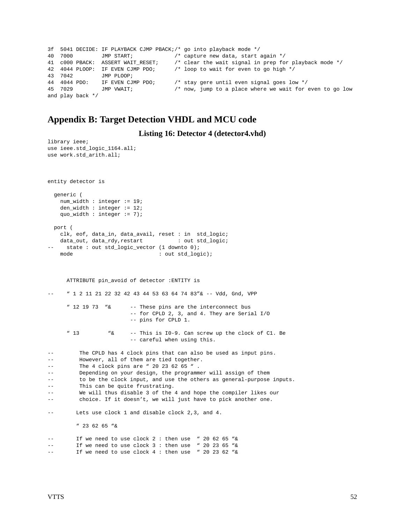```
3f 5041 DECIDE: IF PLAYBACK CJMP PBACK;/* go into playback mode */
40 7000 JMP START; /* capture new data, start again */
41 c000 PBACK: ASSERT WAIT_RESET; /* clear the wait signal in prep for playback mode */
42 4044 PLOOP: IF EVEN CJMP PDO; /* loop to wait for even to go high */
43 7042 JMP PLOOP;
44 4044 PDO: IF EVEN CJMP PDO; /* stay gere until even signal goes low */
45 7029 JMP VWAIT; / how, jump to a place where we wait for even to go low
and play back */
```
## **Appendix B: Target Detection VHDL and MCU code**

**Listing 16: Detector 4 (detector4.vhd)**

```
library ieee;
use ieee.std_logic_1164.all;
use work.std_arith.all;
entity detector is
  generic (
    num_width : integer := 19;
    den_width : integer := 12;
    quo_width : integer := 7);
  port (
    clk, eof, data_in, data_avail, reset : in std_logic;
   data_out, data_rdy, restart : out std_logic;
    state : out std_logic_vector (1 downto 0);
   mode : out std_logic);
      ATTRIBUTE pin_avoid of detector :ENTITY is
     -- " 1 2 11 21 22 32 42 43 44 53 63 64 74 83"& -- Vdd, Gnd, VPP
      " 12 19 73 "& -- These pins are the interconnect bus
                         -- for CPLD 2, 3, and 4. They are Serial I/O
                         -- pins for CPLD 1.
      " 13 "& -- This is I0-9. Can screw up the clock of C1. Be
                         -- careful when using this.
-- The CPLD has 4 clock pins that can also be used as input pins.
-- However, all of them are tied together.
-- The 4 clock pins are " 20 23 62 65 ".
-- Depending on your design, the programmer will assign of them
-- to be the clock input, and use the others as general-purpose inputs.
-- This can be quite frustrating.
-- We will thus disable 3 of the 4 and hope the compiler likes our
-- choice. If it doesn't, we will just have to pick another one.
-- Lets use clock 1 and disable clock 2,3, and 4.
         " 23 62 65 "&
        If we need to use clock 2: then use " 20 62 65 "&
-- If we need to use clock 3 : then use " 20 23 65 "&
-- If we need to use clock 4 : then use " 20 23 62 "&
```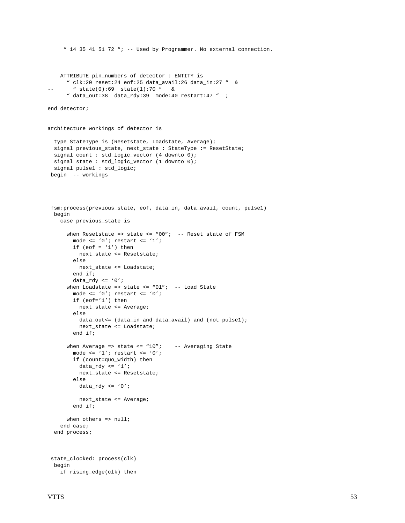```
 ATTRIBUTE pin_numbers of detector : ENTITY is
       " clk:20 reset:24 eof:25 data_avail:26 data_in:27 " &
-- " state(0):69 state(1):70 " &
      " data_out:38 data_rdy:39 mode:40 restart:47 " ;
end detector;
architecture workings of detector is
   type StateType is (Resetstate, Loadstate, Average);
 signal previous_state, next_state : StateType := ResetState;
  signal count : std_logic_vector (4 downto 0);
  signal state : std_logic_vector (1 downto 0);
  signal pulse1 : std_logic;
 begin -- workings
 fsm:process(previous_state, eof, data_in, data_avail, count, pulse1)
  begin
     case previous_state is
     when Resetstate => state <= "00"; -- Reset state of FSM
       mode \leq '0'; restart \leq '1';
        if (eof = '1') then
          next_state <= Resetstate;
         else
         next_state <= Loadstate;
         end if;
       data_rdy <= '0';
      when Loadstate => state <= "01"; -- Load State
       mode <= '0'; restart <= '0';
        if (eof='1') then
          next_state <= Average;
         else
          data_out<= (data_in and data_avail) and (not pulse1);
          next_state <= Loadstate;
         end if;
      when Average => state <= "10"; -- Averaging State
        mode <= '1'; restart <= '0';
         if (count=quo_width) then
         data_rdy <= '1'i next_state <= Resetstate;
         else
         data_rdy <= '0'i next_state <= Average;
         end if;
     when others \Rightarrow null;
     end case;
   end process;
 state_clocked: process(clk)
  begin
    if rising_edge(clk) then
```
" 14 35 41 51 72 "; -- Used by Programmer. No external connection.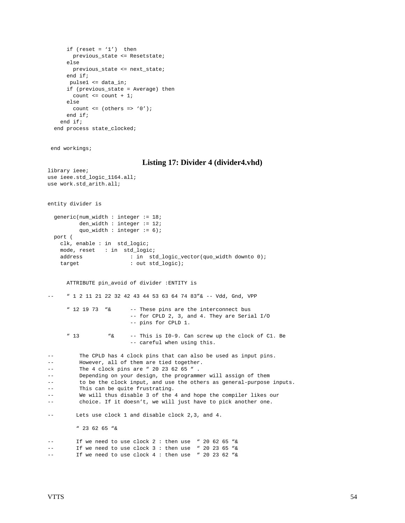```
if (reset = '1') then
       previous_state <= Resetstate;
     else
       previous_state <= next_state;
     end if;
      pulse1 <= data_in;
     if (previous_state = Average) then
      count \le count + 1;
     else
      count \leq (others \Rightarrow '0');
     end if;
   end if;
 end process state_clocked;
```
end workings;

#### **Listing 17: Divider 4 (divider4.vhd)**

```
library ieee;
use ieee.std_logic_1164.all;
use work.std_arith.all;
entity divider is
  generic(num_width : integer := 18;
         den_width : integer := 12;
         quo width : integer := 6);
  port (
    clk, enable : in std_logic;
    mode, reset : in std_logic;
   address : in std_logic_vector(quo_width downto 0);
   target : out std_logic);
      ATTRIBUTE pin_avoid of divider :ENTITY is
     -- " 1 2 11 21 22 32 42 43 44 53 63 64 74 83"& -- Vdd, Gnd, VPP
      " 12 19 73 "& -- These pins are the interconnect bus
                         -- for CPLD 2, 3, and 4. They are Serial I/O
                         -- pins for CPLD 1.
      " 13 "& -- This is I0-9. Can screw up the clock of C1. Be
                        -- careful when using this.
-- The CPLD has 4 clock pins that can also be used as input pins.
-- However, all of them are tied together.
-- The 4 clock pins are " 20 23 62 65 ".
-- Depending on your design, the programmer will assign of them
-- to be the clock input, and use the others as general-purpose inputs.
-- This can be quite frustrating.
-- We will thus disable 3 of the 4 and hope the compiler likes our
-- choice. If it doesn't, we will just have to pick another one.
-- Lets use clock 1 and disable clock 2,3, and 4.
         " 23 62 65 "&
-- If we need to use clock 2 : then use " 20 62 65 "&
-- If we need to use clock 3 : then use " 20 23 65 "&
-- If we need to use clock 4 : then use " 20 23 62 "&
```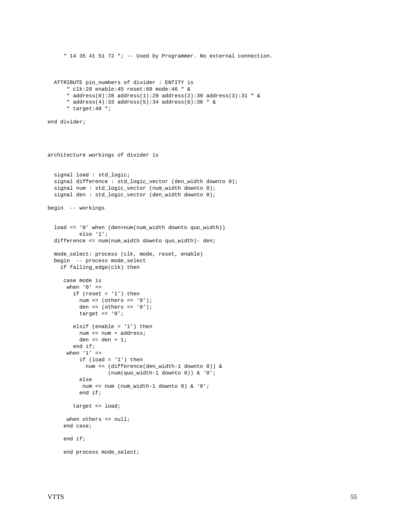```
 " 14 35 41 51 72 "; -- Used by Programmer. No external connection.
   ATTRIBUTE pin_numbers of divider : ENTITY is
       " clk:20 enable:45 reset:60 mode:46 " &
      " address(0):28 address(1):29 address(2):30 address(3):31 " &
       " address(4):33 address(5):34 address(6):36 " &
       " target:48 ";
end divider;
architecture workings of divider is
   signal load : std_logic;
  signal difference : std_logic_vector (den_width downto 0);
   signal num : std_logic_vector (num_width downto 0);
   signal den : std_logic_vector (den_width downto 0);
begin -- workings
   load <= '0' when (den>num(num_width downto quo_width))
           else '1';
   difference <= num(num_width downto quo_width)- den;
   mode_select: process (clk, mode, reset, enable)
  begin -- process mode_select
     if falling_edge(clk) then
      case mode is
      when '0' =>
        if (reset = '1') then
          num \leq (others \leq '0');
          den \leq (others \Rightarrow '0');
           target <= '0';
        elsif (enable = '1') then
           num <= num + address;
           den <= den + 1;
         end if;
      when '1' =>
          if (load = '1') then
             num <= (difference(den_width-1 downto 0)) &
                    (num(quo_width-1 downto 0)) & '0';
           else
           num <= num (num_width-1 downto 0) & '0';
           end if;
         target <= load;
      when others \Rightarrow null;
      end case;
      end if;
     end process mode select;
```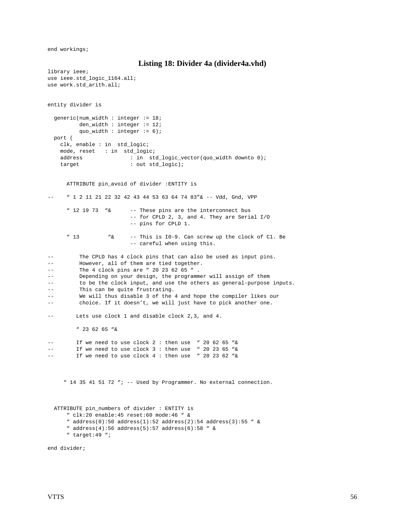end workings;

```
Listing 18: Divider 4a (divider4a.vhd)
```

```
library ieee;
use ieee.std_logic_1164.all;
use work.std_arith.all;
entity divider is
  generic(num_width : integer := 18;
          den_width : integer := 12;
          quo_width : integer := 6);
  port (
    clk, enable : in std_logic;
    mode, reset : in std_logic;
    address : in std_logic_vector(quo_width downto 0);
   target : out std_logic);
      ATTRIBUTE pin_avoid of divider :ENTITY is
-- " 1 2 11 21 22 32 42 43 44 53 63 64 74 83" & -- Vdd, Gnd, VPP
      " 12 19 73 "& -- These pins are the interconnect bus
                         -- for CPLD 2, 3, and 4. They are Serial I/O
                         -- pins for CPLD 1.
      " 13 "& -- This is I0-9. Can screw up the clock of C1. Be
                         -- careful when using this.
-- The CPLD has 4 clock pins that can also be used as input pins.
-- However, all of them are tied together.
-- The 4 clock pins are " 20 23 62 65 " .
-- Depending on your design, the programmer will assign of them
-- to be the clock input, and use the others as general-purpose inputs.
         This can be quite frustrating.
         We will thus disable 3 of the 4 and hope the compiler likes our
-- choice. If it doesn't, we will just have to pick another one.
-- Lets use clock 1 and disable clock 2,3, and 4.
         " 23 62 65 "&
-- If we need to use clock 2 : then use " 20 62 65 "&
-- If we need to use clock 3 : then use " 20 23 65 "&
        If we need to use clock 4 : then use " 20 23 62 "&
     " 14 35 41 51 72 "; -- Used by Programmer. No external connection.
  ATTRIBUTE pin_numbers of divider : ENTITY is
      " clk:20 enable:45 reset:60 mode:46 " &
     " address(0):50 address(1):52 address(2):54 address(3):55 " &
      " address(4):56 address(5):57 address(6):58 " &
```
" target:49 ";

end divider;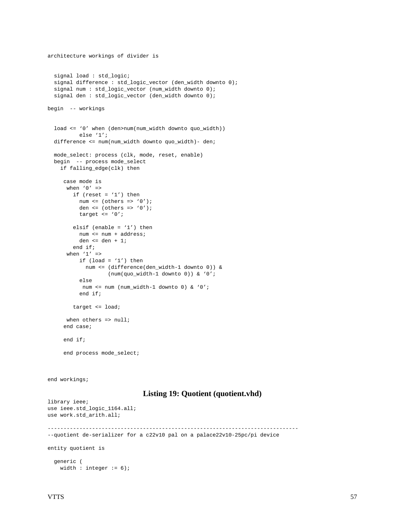```
 signal load : std_logic;
   signal difference : std_logic_vector (den_width downto 0);
   signal num : std_logic_vector (num_width downto 0);
   signal den : std_logic_vector (den_width downto 0);
begin -- workings
   load <= '0' when (den>num(num_width downto quo_width))
           else '1';
   difference <= num(num_width downto quo_width)- den;
   mode_select: process (clk, mode, reset, enable)
  begin -- process mode_select
     if falling_edge(clk) then
      case mode is
      when '0' =>
        if (reset = '1') then
          num <= (others => '0');
          den \leq (others \Rightarrow '0');
          target \leq '0';
         elsif (enable = '1') then
           num <= num + address;
           den <= den + 1;
         end if;
      when '1' =>
          if (\text{load} = '1') then
             num <= (difference(den_width-1 downto 0)) &
                    (num(quo_width-1 downto 0)) & '0';
           else
           num <= num (num_width-1 downto 0) & '0';
           end if;
         target <= load;
      when others => null;
      end case;
      end if;
      end process mode_select;
end workings;
                               Listing 19: Quotient (quotient.vhd)
library ieee;
use ieee.std_logic_1164.all;
use work.std_arith.all;
-------------------------------------------------------------------------------
--quotient de-serializer for a c22v10 pal on a palace22v10-25pc/pi device
entity quotient is
   generic (
    width : integer := 6;
```
architecture workings of divider is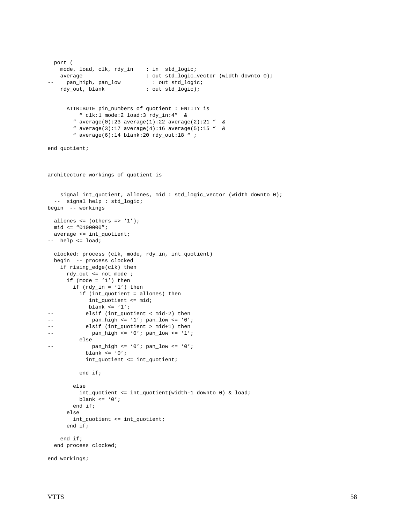```
 port (
    mode, load, clk, rdy_in : in std_logic;
   average : out std_logic_vector (width downto 0);
     pan_high, pan_low : out std_logic;
   rdy_out, blank : out std_logic);
      ATTRIBUTE pin_numbers of quotient : ENTITY is
          " clk:1 mode:2 load:3 rdy_in:4" &
        " average(0):23 average(1):22 average(2):21 " &
         " average(3):17 average(4):16 average(5):15 " &
         " average(6):14 blank:20 rdy_out:18 " ;
end quotient;
architecture workings of quotient is
    signal int_quotient, allones, mid : std_logic_vector (width downto 0);
  -- signal help : std_logic;
begin -- workings
  allones <= (others => '1');
  mid <= "0100000";
  average <= int_quotient;
-- help <= load;
  clocked: process (clk, mode, rdy_in, int_quotient)
  begin -- process clocked
    if rising_edge(clk) then
     rdy out \leq not mode ;
     if (mode = '1') then
       if (rdy_in = '1') then
          if (int_quotient = allones) then
             int_quotient <= mid;
            blank \le '1';
-- elsif (int_quotient < mid-2) then
--    pan_high <= '1';    pan_low <= '0';
-- elsif (int_quotient > mid+1) then
--    pan_high <= '0';    pan_low <= '1';
          else
--    pan_high <= '0';    pan_low <= '0';
           blank\leq'0';
            int_quotient <= int_quotient;
          end if;
        else
          int_quotient <= int_quotient(width-1 downto 0) & load;
         blank \leq '0';
        end if;
      else
        int_quotient <= int_quotient;
      end if;
     end if;
   end process clocked;
end workings;
```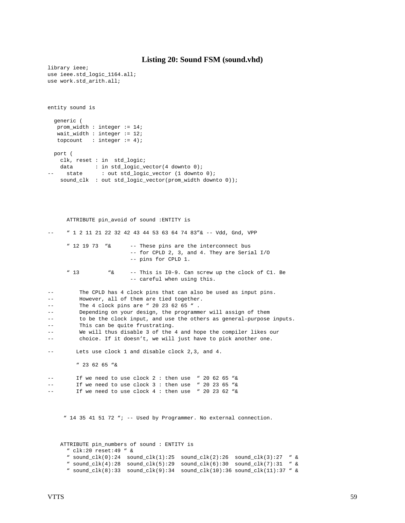#### **Listing 20: Sound FSM (sound.vhd)**

```
library ieee;
use ieee.std_logic_1164.all;
use work.std_arith.all;
entity sound is
  generic (
   prom_width : integer := 14;
   wait_width : integer := 12;
  topcount : integer := 4);
  port (
    clk, reset : in std_logic;
   data : in std_logic_vector(4 downto 0);
    state : out std_logic_vector (1 downto 0);
    sound_clk : out std_logic_vector(prom_width downto 0));
      ATTRIBUTE pin_avoid of sound :ENTITY is
     -- " 1 2 11 21 22 32 42 43 44 53 63 64 74 83"& -- Vdd, Gnd, VPP
      " 12 19 73 "& -- These pins are the interconnect bus
                         -- for CPLD 2, 3, and 4. They are Serial I/O
                         -- pins for CPLD 1.
      " 13 "& -- This is I0-9. Can screw up the clock of C1. Be
                         -- careful when using this.
-- The CPLD has 4 clock pins that can also be used as input pins.
-- However, all of them are tied together.
-- The 4 clock pins are " 20 23 62 65 ".
-- Depending on your design, the programmer will assign of them
-- to be the clock input, and use the others as general-purpose inputs.
-- This can be quite frustrating.
-- We will thus disable 3 of the 4 and hope the compiler likes our
-- choice. If it doesn't, we will just have to pick another one.
-- Lets use clock 1 and disable clock 2,3, and 4.
         " 23 62 65 "&
        If we need to use clock 2 : then use " 20 62 65 "&
-- If we need to use clock 3 : then use " 20 23 65 "&
-- If we need to use clock 4 : then use " 20 23 62 "&
     " 14 35 41 51 72 "; -- Used by Programmer. No external connection.
    ATTRIBUTE pin_numbers of sound : ENTITY is
      " clk:20 reset:49 " &
      " sound_clk(0):24 sound_clk(1):25 sound_clk(2):26 sound_clk(3):27 " &
      " sound_clk(4):28 sound_clk(5):29 sound_clk(6):30 sound_clk(7):31 " &
```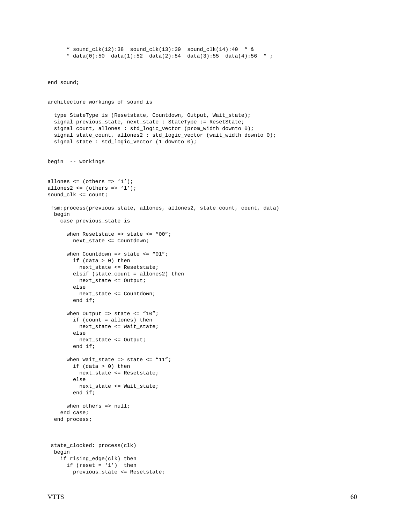```
end sound;
architecture workings of sound is
   type StateType is (Resetstate, Countdown, Output, Wait_state);
   signal previous_state, next_state : StateType := ResetState;
   signal count, allones : std_logic_vector (prom_width downto 0);
   signal state_count, allones2 : std_logic_vector (wait_width downto 0);
   signal state : std_logic_vector (1 downto 0);
begin -- workings
allones \leq (others \leq '1');
allones2 <= (others =& '1');sound_clk <= count;
 fsm:process(previous_state, allones, allones2, state_count, count, data)
  begin
     case previous_state is
      when Resetstate => state <= "00";
         next_state <= Countdown;
      when Countdown => state <= "01";
         if (data > 0) then
          next_state <= Resetstate;
        elsif (state count = allones2) then
           next_state <= Output;
         else
           next_state <= Countdown;
         end if;
      when Output => state <= "10";
         if (count = allones) then
          next_state <= Wait_state;
         else
           next_state <= Output;
         end if;
      when Wait\_state \Rightarrow state \leq "11"; if (data > 0) then
           next_state <= Resetstate;
         else
           next_state <= Wait_state;
         end if;
      when others => null;
     end case;
   end process;
  state_clocked: process(clk)
  begin
     if rising_edge(clk) then
      if (reset = '1') then
         previous_state <= Resetstate;
```
 " sound\_clk(12):38 sound\_clk(13):39 sound\_clk(14):40 " & " data(0):50 data(1):52 data(2):54 data(3):55 data(4):56 " ;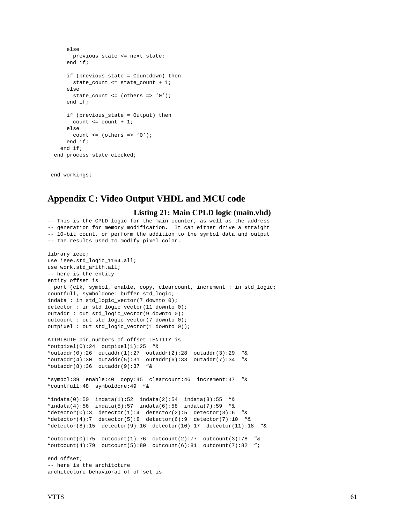```
 else
      previous state <= next state;
     end if;
     if (previous_state = Countdown) then
       state_count <= state_count + 1;
     else
       state_count <= (others => '0');
     end if;
     if (previous_state = Output) then
      count \leq count +1;
     else
      count \leq (others \Rightarrow '0');
     end if;
   end if;
 end process state_clocked;
```
end workings;

# **Appendix C: Video Output VHDL and MCU code**

```
Listing 21: Main CPLD logic (main.vhd)
```

```
-- This is the CPLD logic for the main counter, as well as the address
-- generation for memory modification. It can either drive a straight
-- 10-bit count, or perform the addition to the symbol data and output
-- the results used to modify pixel color.
library ieee;
use ieee.std_logic_1164.all;
use work.std_arith.all;
-- here is the entity
entity offset is
  port (clk, symbol, enable, copy, clearcount, increment : in std_logic;
countfull, symboldone: buffer std_logic;
indata : in std_logic_vector(7 downto 0);
detector : in std_logic_vector(11 downto 0);
outaddr : out std_logic_vector(9 downto 0);
outcount : out std_logic_vector(7 downto 0);
outpixel : out std_logic_vector(1 downto 0));
ATTRIBUTE pin_numbers of offset :ENTITY is
"outpixel(0):24 outpixel(1):25 "&
"outaddr(0):26 outaddr(1):27 outaddr(2):28 outaddr(3):29 "&
"outaddr(4):30 outaddr(5):31 outaddr(6):33 outaddr(7):34 \&"outaddr(8):36 outaddr(9):37 "&"symbol:39 enable:40 copy:45 clearcount:46 increment:47 "&
"countfull:48 symboldone:49 "&
"indata(0):50 indata(1):52 indata(2):54 indata(3):55 "&
"indata(4):56 indata(5):57 indata(6):58 indata(7):59 "&
"detector(0):3 detector(1):4 detector(2):5 detector(3):6 "\&"detector(4):7 detector(5):8 detector(6):9 detector(7):10 "&
"detector(8):15 detector(9):16 detector(10):17 detector(11):18 "&
"outcount(0):75 outcount(1):76 outcount(2):77 outcount(3):78 "&
"outcome(4):79 outcount(5):80 outcount(6):81 outcount(7):82 ";
end offset;
-- here is the architcture
architecture behavioral of offset is
```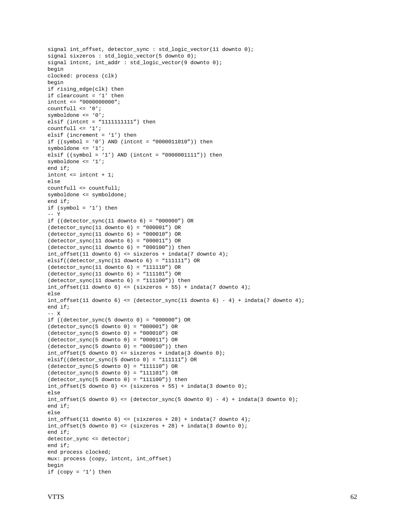```
signal int_offset, detector_sync : std_logic_vector(11 downto 0);
signal sixzeros : std logic vector(5 downto 0);
signal intcnt, int_addr : std_logic_vector(9 downto 0);
begin
clocked: process (clk)
begin
if rising_edge(clk) then
if clearcount = '1' then
intcnt <= "0000000000";
<code>countfull \leq '0';</code>
symboldone <= '0';
elsif (intcnt = "1111111111") then
countfull \leq '1';
elsif (increment = '1') then
if ((symbol = '0') AND (intcnt = "0000011010")) then
symboldone <= '1';
elsif ((symbol = '1') AND (intcnt = "0000001111")) then
symboldone <= '1';
end if;
intcnt \le intcnt + 1;
else
countfull <= countfull;
symboldone <= symboldone;
end if;
if (symbol = '1') then
-- Y
if ((detector_sync(11 downto 6) = "000000") OR
(detector_sync(11 downto 6) = "000001") OR
(detector_sync(11 downto 6) = "000010") OR
(detector_sync(11 downto 6) = "000011") OR
(detector_sync(11 downto 6) = "000100")) then
int_offset(11 downto 6) <= sixzeros + indata(7 downto 4);
elsif((detector_sync(11 downto 6) = "111111") OR
(detector_sync(11 downto 6) = "111110") OR
(detector sync(11 downto 6) = "111101") OR(detector_sync(11 downto 6) = "111100")) then
int_{0}ffset(11 downto 6) <= (sixzeros + 55) + indata(7 downto 4);
else
int_{0}ffset(11 downto 6) <= (detector_sync(11 downto 6) - 4) + indata(7 downto 4);
end if;
-- X
if ((detector_sync(5 downto 0) = "000000") OR
(detector_sync(5 downto 0) = "000001") OR
(detector sync(5 downto 0) = "000010") OR(detector_sync(5 downto 0) = "000011") OR
(detector_sync(5 downto 0) = "000100") then
int_offset(5 downto 0) <= sixzeros + indata(3 downto 0);
elsif((detector_sync(5 downto 0) = "111111") OR
(detector_sync(5 downto 0) = "111110") OR
(detector_sync(5 downto 0) = "111101") OR
(detector_sync(5 downto 0) = "111100") then
int_{0}ffset(5 downto 0) <= (sixzeros + 55) + indata(3 downto 0);
else
int_{of} (5 downto 0) <= (detector_sync(5 downto 0) - 4) + indata(3 downto 0);
end if;
else
int_{0}ffset(11 downto 6) <= (sixzeros + 28) + indata(7 downto 4);
int_{offset(5 down to 0) \leftarrow (sixzeros + 28) + indata(3 down to 0);end if;
detector_sync <= detector;
end if;
end process clocked;
mux: process (copy, intcnt, int_offset)
begin
if (copy = '1') then
```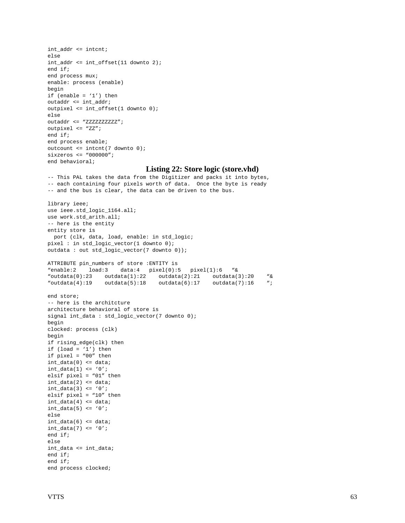```
int_addr <= intcnt;
else
int_addr <= int_offset(11 downto 2);
end if;
end process mux;
enable: process (enable)
begin
if (enable = '1') then
outaddr <= int_addr;
outpixel <= int_offset(1 downto 0);
else
outaddr <= "ZZZZZZZZZZZ";
outpixel <= "ZZ";
end if;
end process enable;
outcount <= intcnt(7 downto 0);
sixzeros <= "000000";
end behavioral;
```
#### **Listing 22: Store logic (store.vhd)**

```
-- This PAL takes the data from the Digitizer and packs it into bytes,
-- each containing four pixels worth of data. Once the byte is ready
-- and the bus is clear, the data can be driven to the bus.
library ieee;
use ieee.std_logic_1164.all;
use work.std_arith.all;
-- here is the entity
entity store is
  port (clk, data, load, enable: in std_logic;
pixel : in std_logic_vector(1 downto 0);
outdata : out std_logic_vector(7 downto 0));
ATTRIBUTE pin_numbers of store :ENTITY is
"enable:2 load:3 data:4 pixel(0):5 pixel(1):6 "&
\text{voutdata}(0):23 outdata(1):22 outdata(2):21 outdata(3):20 "\&<br>\text{voutdata}(4):19 outdata(5):18 outdata(6):17 outdata(7):16 "
                outdata(5):18 outdata(6):17 outdata(7):16 ";
end store;
-- here is the architcture
architecture behavioral of store is
signal int_data : std_logic_vector(7 downto 0);
begin
clocked: process (clk)
begin
if rising_edge(clk) then
if (load = '1') then
if pixel = "00" then
int_data(0) \leq data;int_data(1) \leq '0';elsif pixel = "01" then
int_data(2) \leq data;int_data(3) \leq v'elsif pixel = "10" then
int_data(4) \leq data;int data(5) \leq v0';
else
int_data(6) \leq data;int_data(7) \leq 0'iend if;
else
int data \leq int data;
end if;
end if;
end process clocked;
```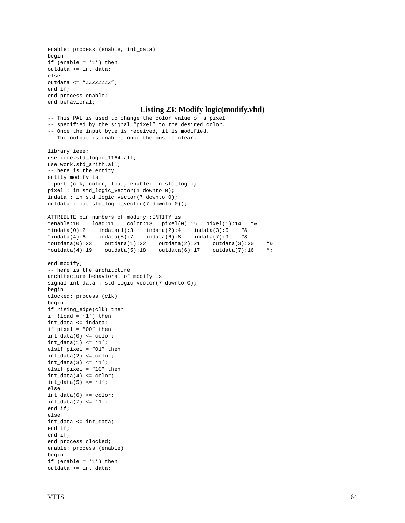```
enable: process (enable, int_data)
begin
if (enable = '1') then
outdata <= int_data;
else
outdata <= "ZZZZZZZZ";
end if;
end process enable;
end behavioral;
                            Listing 23: Modify logic(modify.vhd)
-- This PAL is used to change the color value of a pixel
-- specified by the signal "pixel" to the desired color.
-- Once the input byte is received, it is modified.
-- The output is enabled once the bus is clear.
library ieee;
use ieee.std_logic_1164.all;
use work.std_arith.all;
-- here is the entity
entity modify is
  port (clk, color, load, enable: in std_logic;
pixel : in std_logic_vector(1 downto 0);
indata : in std_logic_vector(7 downto 0);
outdata : out std_logic_vector(7 downto 0));
ATTRIBUTE pin_numbers of modify :ENTITY is
"enable:10 load:11 color:13 pixel(0):15 pixel(1):14 "&
"indata(0):2 indata(1):3 indata(2):4 indata(3):5 "&
"indata(4):6 indata(5):7 indata(6):8 indata(7):9 "&
"outdata(0):23 outdata(1):22 outdata(2):21 outdata(3):20 "&
"outdata(4):19 outdata(5):18 outdata(6):17 outdata(7):16 ";
end modify;
-- here is the architcture
architecture behavioral of modify is
signal int_data : std_logic_vector(7 downto 0);
begin
clocked: process (clk)
begin
if rising_edge(clk) then
if (\text{load} = '1') then
int_data <= indata;
if pixel = "00" then
int_data(0) <= color;
int_data(1) \leq 1'ielsif pixel = "01" then
int_data(2) \leq color;int_data(3) \leq 1'ielsif pixel = "10" then
int_data(4) \leq color;int_data(5) \leq 1'ielse
int_data(6) <= color;
int_data(7) \leq 1'iend if;
else
int_data <= int_data;
end if;
end if;
end process clocked;
enable: process (enable)
begin
if (enable = '1') then
outdata <= int_data;
```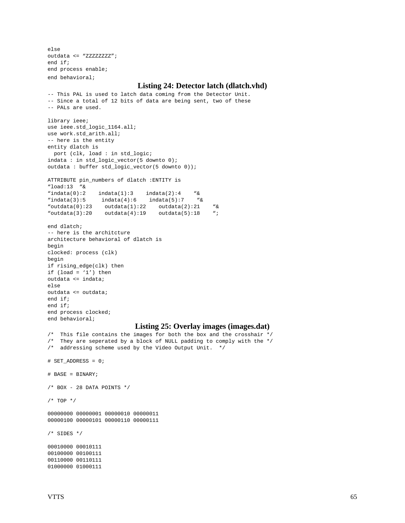else outdata <= "ZZZZZZZZ"; end if; end process enable; end behavioral;

#### **Listing 24: Detector latch (dlatch.vhd)**

```
-- This PAL is used to latch data coming from the Detector Unit.
-- Since a total of 12 bits of data are being sent, two of these
-- PALs are used.
library ieee;
use ieee.std_logic_1164.all;
use work.std_arith.all;
-- here is the entity
entity dlatch is
  port (clk, load : in std_logic;
indata : in std_logic_vector(5 downto 0);
outdata : buffer std_logic_vector(5 downto 0));
ATTRIBUTE pin_numbers of dlatch :ENTITY is
"load:13 "&
"indata(0):2 indata(1):3 indata(2):4 ``&"indata(3):5 indata(4):6 indata(5):7 ``&"outdata(0):23 outdata(1):22 outdata(2):21 "&
"outdata(3):20 outdata(4):19 outdata(5):18 ";
end dlatch;
-- here is the architcture
architecture behavioral of dlatch is
begin
clocked: process (clk)
begin
if rising_edge(clk) then
if (load = '1') then
outdata <= indata;
else
outdata <= outdata;
end if;
end if;
end process clocked;
end behavioral;
                           Listing 25: Overlay images (images.dat)
/* This file contains the images for both the box and the crosshair */
\prime^* They are seperated by a block of NULL padding to comply with the */
/* addressing scheme used by the Video Output Unit. */
# SET_ADDRESS = 0;
# BASE = BINARY;
/* BOX - 28 DATA POINTS */
/* TOP */
00000000 00000001 00000010 00000011
00000100 00000101 00000110 00000111
/* SIDES */
00010000 00010111
00100000 00100111
00110000 00110111
01000000 01000111
```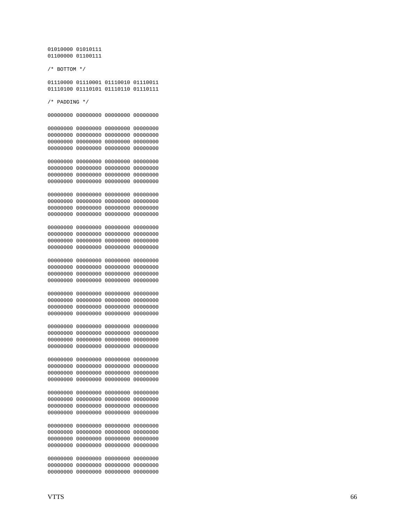01010000 01010111 01100000 01100111

/\* BOTTOM \*/

01110000 01110001 01110010 01110011 01110100 01110101 01110110 01110111

/\* PADDING \*/

00000000 00000000 00000000 00000000

00000000 00000000 00000000 00000000 00000000 00000000 00000000 00000000 00000000 00000000 00000000 00000000 00000000 00000000 00000000 00000000

00000000 00000000 00000000 00000000 00000000 00000000 00000000 00000000 00000000 00000000 00000000 00000000 00000000 00000000 00000000 00000000

00000000 00000000 00000000 00000000 00000000 00000000 00000000 00000000 00000000 00000000 00000000 00000000 00000000 00000000 00000000 00000000

00000000 00000000 00000000 00000000 00000000 00000000 00000000 00000000 00000000 00000000 00000000 00000000 00000000 00000000 00000000 00000000

00000000 00000000 00000000 00000000 00000000 00000000 00000000 00000000 00000000 00000000 00000000 00000000 00000000 00000000 00000000 00000000 00000000 00000000 00000000 00000000 00000000 00000000 00000000 00000000

00000000 00000000 00000000 00000000 00000000 00000000 00000000 00000000

00000000 00000000 00000000 00000000

00000000 00000000 00000000 00000000 00000000 00000000 00000000 00000000 00000000 00000000 00000000 00000000 00000000 00000000 00000000 00000000 00000000 00000000 00000000 00000000 00000000 00000000 00000000 00000000 00000000 00000000 00000000 00000000

00000000 00000000 00000000 00000000 00000000 00000000 00000000 00000000 00000000 00000000 00000000 00000000 00000000 00000000 00000000 00000000 00000000 00000000 00000000 00000000 00000000 00000000 00000000 00000000 00000000 00000000 00000000 00000000 00000000 00000000 00000000 00000000 00000000 00000000 00000000 00000000 00000000 00000000 00000000 00000000 00000000 00000000 00000000 00000000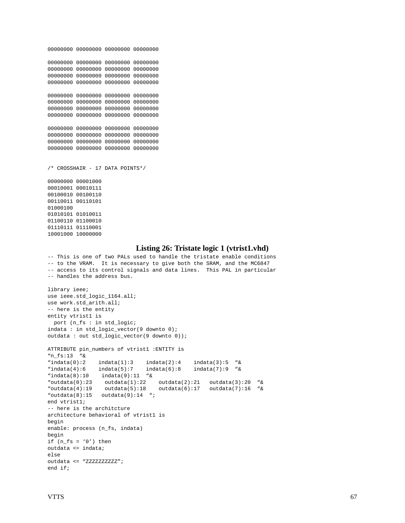```
00000000 00000000 00000000 00000000
00000000 00000000 00000000 00000000
00000000 00000000 00000000 00000000
00000000 00000000 00000000 00000000
00000000 00000000 00000000 00000000
00000000 00000000 00000000 00000000
00000000 00000000 00000000 00000000
00000000 00000000 00000000 00000000
00000000 00000000 00000000 00000000
00000000 00000000 00000000 00000000
00000000 00000000 00000000 00000000
00000000 00000000 00000000 00000000
/* CROSSHAIR - 17 DATA POINTS*/
00000000 00001000
00010001 00010111
00100010 00100110
00110011 00110101
01000100
01010101 01010011
01100110 01100010
01110111 01110001
10001000 10000000
                              Listing 26: Tristate logic 1 (vtrist1.vhd)
-- This is one of two PALs used to handle the tristate enable conditions
-- to the VRAM. It is necessary to give both the SRAM, and the MC6847
-- access to its control signals and data lines. This PAL in particular
-- handles the address bus.
library ieee;
use ieee.std_logic_1164.all;
use work.std_arith.all;
-- here is the entity
entity vtrist1 is
  port (n_fs : in std_logic;
indata : in std_logic_vector(9 downto 0);
outdata : out std_logic_vector(9 downto 0));
ATTRIBUTE pin_numbers of vtrist1 :ENTITY is
"n_fs:13 "&
\text{vindata}(0):2 \quad \text{indata}(1):3 \quad \text{indata}(2):4 \quad \text{indata}(3):5 \quad \text{w}.\<br>\text{vindata}(4):6 \quad \text{indata}(5):7 \quad \text{indata}(6):8 \quad \text{indata}(7):9 \quad \text{w}.\"indata(4):6 indata(5):7 indata(6):8 indata(7):9 \alpha"indata(8):10 indata(9):11 "&
"outdata(0):23 outdata(1):22 outdata(2):21 outdata(3):20 "&
"outdata(4):19 outdata(5):18 outdata(6):17 outdata(7):16 \alpha"outdata(8):15 outdata(9):14 ";
end vtrist1;
-- here is the architcture
architecture behavioral of vtrist1 is
begin
enable: process (n_fs, indata)
begin
if (n fs = '0') then
outdata <= indata;
else
outdata <= "ZZZZZZZZZZ";
end if;
```
00000000 00000000 00000000 00000000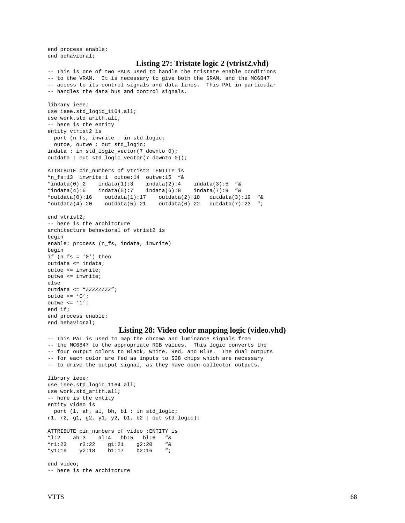end process enable; end behavioral;

#### **Listing 27: Tristate logic 2 (vtrist2.vhd)**

-- This is one of two PALs used to handle the tristate enable conditions -- to the VRAM. It is necessary to give both the SRAM, and the MC6847 -- access to its control signals and data lines. This PAL in particular -- handles the data bus and control signals.

```
library ieee;
use ieee.std_logic_1164.all;
use work.std_arith.all;
-- here is the entity
entity vtrist2 is
  port (n_fs, inwrite : in std_logic;
 outoe, outwe : out std_logic;
indata : in std_logic_vector(7 downto 0);
outdata : out std_logic_vector(7 downto 0));
ATTRIBUTE pin_numbers of vtrist2 :ENTITY is
"n_fs:13 inwrite:1 outoe:14 outwe:15 "&
"indata(0):2 indata(1):3 indata(2):4 indata(3):5 "&
"indata(4):6 indata(5):7 indata(6):8 indata(7):9 \alpha"outdata(0):16 outdata(1):17 outdata(2):18 outdata(3):19 "&
"outdata(4):20 outdata(5):21 outdata(6):22 outdata(7):23 ";
end vtrist2;
-- here is the architcture
architecture behavioral of vtrist2 is
begin
enable: process (n_fs, indata, inwrite)
begin
if (n fs = '0') then
outdata <= indata;
outoe <= inwrite;
outwe <= inwrite;
else
outdata <= "ZZZZZZZZ";
outoe <= '0';
outwe \leq '1';
end if;
end process enable;
end behavioral;
```
#### **Listing 28: Video color mapping logic (video.vhd)**

-- This PAL is used to map the chroma and luminance signals from -- the MC6847 to the appropriate RGB values. This logic converts the -- four output colors to Black, White, Red, and Blue. The dual outputs -- for each color are fed as inputs to S38 chips which are necessary -- to drive the output signal, as they have open-collector outputs. library ieee; use ieee.std\_logic\_1164.all; use work.std\_arith.all; -- here is the entity entity video is port (l, ah, al, bh, bl : in std\_logic; r1, r2, g1, g2, y1, y2, b1, b2 : out std\_logic); ATTRIBUTE pin\_numbers of video :ENTITY is "l:2 ah:3 al:4 bh:5 bl:6 "& "r1:23 r2:22 g1:21 g2:20 "& "y1:19 y2:18 b1:17 b2:16 "; end video; -- here is the architcture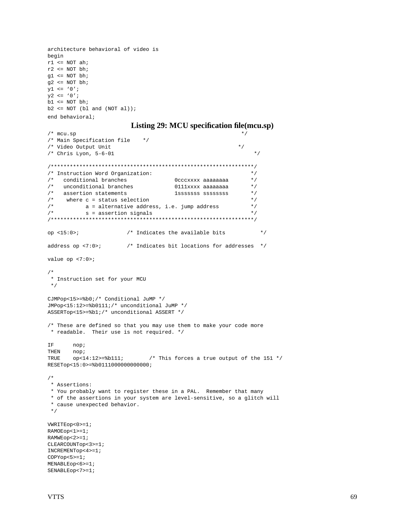```
architecture behavioral of video is
begin
r1 <= NOT ah;
r2 << NOT bh;
q1 \leq NOT bh;
q2 \leq NOT bh;
y1 \leq y0';
y2 \leq y0';
b1\Leftarrow NOT bh;
b2 <= NOT (bl and (NOT \text{ al}));
end behavioral;
```
#### **Listing 29: MCU specification file(mcu.sp)**

```
/* mcu.sp * /
/* Main Specification file */
/* Video Output Unit * /
/* Chris Lyon, 5-6-01 */****************************************************************/
/* Instruction Word Organization: */
/* conditional branches 0cccxxxx aaaaaaaa */
/* unconditional branches 0111xxxx aaaaaaaa */
% assertion statements 1sssssss sssssssss */<br>
\frac{x}{1} where c = status selection */
/* where c = status selection \frac{\ast}{\ell}<br>/* a = alternative address. i.e. jump address \frac{\ast}{\ell}a = alternative address, i.e. jump address
\frac{1}{x} s = assertion signals \frac{x}{x}/****************************************************************/
op <15:0>; \sqrt{*} Indicates the available bits \sqrt{*} /
address op <7:0>; /* Indicates bit locations for addresses */
value op <7:0>;
/*
 * Instruction set for your MCU
 */
CJMPop<15>=%b0;/* Conditional JuMP */
JMPop<15:12>=%b0111;/* unconditional JuMP */
ASSERTop<15>=%b1;/* unconditional ASSERT */
/* These are defined so that you may use them to make your code more
 * readable. Their use is not required. */
IF nop;
THEN nop;<br>TRUE op<1
      T_{\text{C}} op<14:12>=%b111; \frac{1}{2} /* This forces a true output of the 151 */
RESETop<15:0>=%b0111000000000000;
/*
 * Assertions:
 * You probably want to register these in a PAL. Remember that many
  * of the assertions in your system are level-sensitive, so a glitch will
  * cause unexpected behavior.
  */
VWRITEop<0>=1;
RAMOEop<1>=1;
RAMWEop<2>=1;
CLEARCOUNTop<3>=1;
INCREMENTop<4>=1;
COPYop < 5> = 1;MENABLEop<6>=1;
SENABLEop<7>=1;
```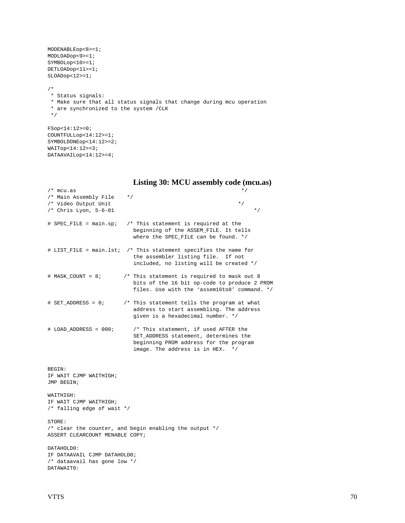```
MODENABLEop<8>=1;
MODLOADop<9>=1;
SYMBOLop<10>=1;
DETLOADop<11>=1;
SLOADop<12>=1;
/*
 * Status signals:
 * Make sure that all status signals that change during mcu operation
  * are synchronized to the system /CLK
 */
FSop<14:12>=0;
```

```
COUNTFULLop<14:12>=1;
SYMBOLDONEop<14:12>=2;
WAITop<14:12>=3;
DATAAVAILop<14:12>=4;
```

| $/*$ mcu.as                                                                              | $^*/$                                                                                                                                                             |
|------------------------------------------------------------------------------------------|-------------------------------------------------------------------------------------------------------------------------------------------------------------------|
| /* Main Assembly File<br>/* Video Output Unit<br>/* Chris Lyon, $5-6-01$                 | $*$ /<br>$\star$ /<br>$*$ /                                                                                                                                       |
| # SPEC_FILE = main.sp;                                                                   | /* This statement is required at the<br>beginning of the ASSEM_FILE. It tells<br>where the SPEC_FILE can be found. */                                             |
|                                                                                          | # LIST_FILE = main.lst; /* This statement specifies the name for<br>the assembler listing file. If not<br>included, no listing will be created */                 |
| $#$ MASK_COUNT = 8;                                                                      | /* This statement is required to mask out 8<br>bits of the 16 bit op-code to produce 2 PROM<br>files. Use with the 'assem16to8' command. */                       |
| $# SET$ _ADDRESS = 0;                                                                    | /* This statement tells the program at what<br>address to start assembling. The address<br>given is a hexadecimal number. */                                      |
| $#$ LOAD_ADDRESS = 000;                                                                  | /* This statement, if used AFTER the<br>SET_ADDRESS statement, determines the<br>beginning PROM address for the program<br>image. The address is in HEX.<br>$*$ / |
| BEGIN:<br>IF WAIT CJMP WAITHIGH;<br>JMP BEGIN;                                           |                                                                                                                                                                   |
| WAITHIGH:<br>IF WAIT CJMP WAITHIGH;<br>/* falling edge of wait */                        |                                                                                                                                                                   |
| STORE:<br>ASSERT CLEARCOUNT MENABLE COPY;                                                | /* clear the counter, and begin enabling the output */                                                                                                            |
| DATAHOLD0:<br>IF DATAAVAIL CJMP DATAHOLD0;<br>/* dataavail has gone low */<br>DATAWAITO: |                                                                                                                                                                   |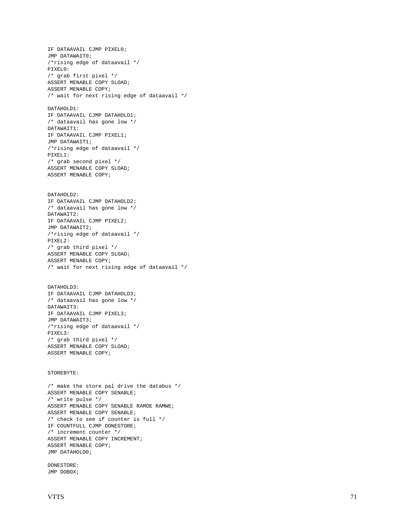```
IF DATAAVAIL CJMP PIXEL0;
JMP DATAWAIT0;
/*rising edge of dataavail */
PIXEL0:
/* grab first pixel */
ASSERT MENABLE COPY SLOAD;
ASSERT MENABLE COPY;
/* wait for next rising edge of dataavail */
DATAHOLD1:
IF DATAAVAIL CJMP DATAHOLD1;
/* dataavail has gone low */
DATAWAIT1:
IF DATAAVAIL CJMP PIXEL1;
JMP DATAWAIT1;
/*rising edge of dataavail */
PIXEL1:
/* grab second pixel */
ASSERT MENABLE COPY SLOAD;
ASSERT MENABLE COPY;
DATAHOLD2:
IF DATAAVAIL CJMP DATAHOLD2;
/* dataavail has gone low */
DATAWAIT2:
IF DATAAVAIL CJMP PIXEL2;
JMP DATAWAIT2;
/*rising edge of dataavail */
PIXEL2:
/* grab third pixel */
ASSERT MENABLE COPY SLOAD;
ASSERT MENABLE COPY;
/* wait for next rising edge of dataavail */
DATAHOLD3:
IF DATAAVAIL CJMP DATAHOLD3;
/* dataavail has gone low */
DATAWAIT3:
IF DATAAVAIL CJMP PIXEL3;
JMP DATAWAIT3;
/*rising edge of dataavail */
PIXEL3:
/* grab third pixel */
ASSERT MENABLE COPY SLOAD;
ASSERT MENABLE COPY;
STOREBYTE:
/* make the store pal drive the databus */
ASSERT MENABLE COPY SENABLE;
/* write pulse */
ASSERT MENABLE COPY SENABLE RAMOE RAMWE;
ASSERT MENABLE COPY SENABLE;
/* check to see if counter is full */
IF COUNTFULL CJMP DONESTORE;
/* increment counter */
ASSERT MENABLE COPY INCREMENT;
ASSERT MENABLE COPY;
JMP DATAHOLD0;
DONESTORE:
JMP DOBOX;
```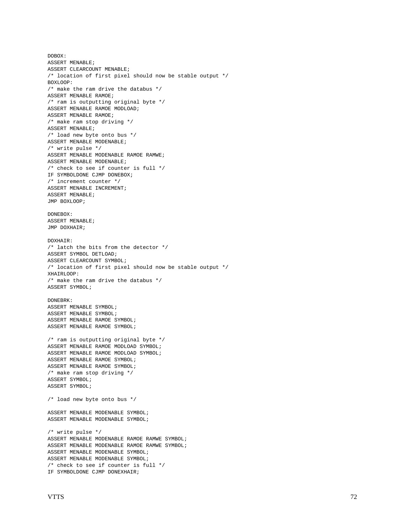```
DOBOX:
ASSERT MENABLE;
ASSERT CLEARCOUNT MENABLE;
/* location of first pixel should now be stable output */
BOXLOOP:
/* make the ram drive the databus */
ASSERT MENABLE RAMOE;
/* ram is outputting original byte */
ASSERT MENABLE RAMOE MODLOAD;
ASSERT MENABLE RAMOE;
/* make ram stop driving */
ASSERT MENABLE;
/* load new byte onto bus */
ASSERT MENABLE MODENABLE;
/* write pulse */
ASSERT MENABLE MODENABLE RAMOE RAMWE;
ASSERT MENABLE MODENABLE;
/* check to see if counter is full */
IF SYMBOLDONE CJMP DONEBOX;
/* increment counter */
ASSERT MENABLE INCREMENT;
ASSERT MENABLE;
JMP BOXLOOP;
DONEBOX:
ASSERT MENABLE;
JMP DOXHAIR;
DOXHAIR:
/* latch the bits from the detector */
ASSERT SYMBOL DETLOAD;
ASSERT CLEARCOUNT SYMBOL;
/* location of first pixel should now be stable output */
XHAIRLOOP:
/* make the ram drive the databus */
ASSERT SYMBOL;
DONEBRK:
ASSERT MENABLE SYMBOL;
ASSERT MENABLE SYMBOL;
ASSERT MENABLE RAMOE SYMBOL;
ASSERT MENABLE RAMOE SYMBOL;
/* ram is outputting original byte */
ASSERT MENABLE RAMOE MODLOAD SYMBOL;
ASSERT MENABLE RAMOE MODLOAD SYMBOL;
ASSERT MENABLE RAMOE SYMBOL;
ASSERT MENABLE RAMOE SYMBOL;
/* make ram stop driving */
ASSERT SYMBOL;
ASSERT SYMBOL;
/* load new byte onto bus */
ASSERT MENABLE MODENABLE SYMBOL;
ASSERT MENABLE MODENABLE SYMBOL;
/* write pulse */
ASSERT MENABLE MODENABLE RAMOE RAMWE SYMBOL;
ASSERT MENABLE MODENABLE RAMOE RAMWE SYMBOL;
ASSERT MENABLE MODENABLE SYMBOL;
ASSERT MENABLE MODENABLE SYMBOL;
/* check to see if counter is full */
IF SYMBOLDONE CJMP DONEXHAIR;
```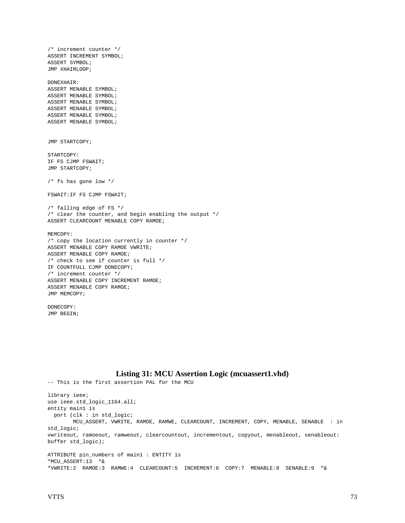/\* increment counter \*/ ASSERT INCREMENT SYMBOL; ASSERT SYMBOL; JMP XHAIRLOOP; DONEXHAIR: ASSERT MENABLE SYMBOL; ASSERT MENABLE SYMBOL; ASSERT MENABLE SYMBOL; ASSERT MENABLE SYMBOL; ASSERT MENABLE SYMBOL; ASSERT MENABLE SYMBOL; JMP STARTCOPY; STARTCOPY: IF FS CJMP FSWAIT; JMP STARTCOPY;  $/*$  fs has gone low  $*/$ FSWAIT:IF FS CJMP FSWAIT; /\* falling edge of FS \*/ /\* clear the counter, and begin enabling the output \*/ ASSERT CLEARCOUNT MENABLE COPY RAMOE; MEMCOPY: /\* copy the location currently in counter \*/ ASSERT MENABLE COPY RAMOE VWRITE; ASSERT MENABLE COPY RAMOE; /\* check to see if counter is full \*/ IF COUNTFULL CJMP DONECOPY; /\* increment counter \*/ ASSERT MENABLE COPY INCREMENT RAMOE; ASSERT MENABLE COPY RAMOE; JMP MEMCOPY;

DONECOPY: JMP BEGIN;

## **Listing 31: MCU Assertion Logic (mcuassert1.vhd)**

```
-- This is the first assertion PAL for the MCU
library ieee;
use ieee.std_logic_1164.all;
entity main1 is
  port (clk : in std_logic;
        MCU_ASSERT, VWRITE, RAMOE, RAMWE, CLEARCOUNT, INCREMENT, COPY, MENABLE, SENABLE : in
std_logic;
vwriteout, ramoeout, ramweout, clearcountout, incrementout, copyout, menableout, senableout:
buffer std_logic);
ATTRIBUTE pin_numbers of main1 : ENTITY is
"MCU_ASSERT:13 "&
"VWRITE:2 RAMOE:3 RAMWE:4 CLEARCOUNT:5 INCREMENT:6 COPY:7 MENABLE:8 SENABLE:9 "&
```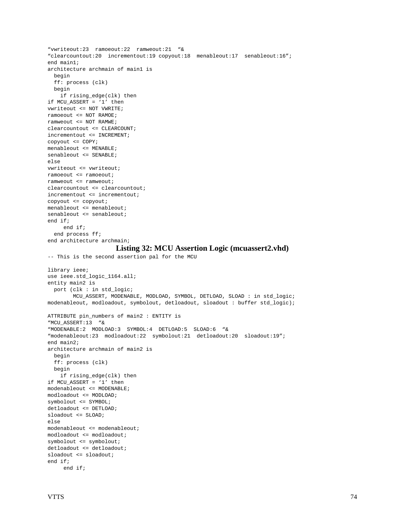```
"vwriteout:23 ramoeout:22 ramweout:21 "&
"clearcountout:20 incrementout:19 copyout:18 menableout:17 senableout:16";
end main1;
architecture archmain of main1 is
  begin
  ff: process (clk)
  begin
    if rising_edge(clk) then
if MCU_ASSERT = '1' then
vwriteout <= NOT VWRITE;
ramoeout <= NOT RAMOE;
ramweout <= NOT RAMWE;
clearcountout <= CLEARCOUNT;
incrementout <= INCREMENT;
copyout <= COPY;
menableout <= MENABLE;
senableout <= SENABLE;
else
vwriteout <= vwriteout;
ramoeout <= ramoeout;
ramweout <= ramweout;
clearcountout <= clearcountout;
incrementout <= incrementout;
copyout <= copyout;
menableout <= menableout;
senableout <= senableout;
end if;
      end if;
   end process ff;
end architecture archmain;
                     Listing 32: MCU Assertion Logic (mcuassert2.vhd)
-- This is the second assertion pal for the MCU
library ieee;
use ieee.std_logic_1164.all;
entity main2 is
  port (clk : in std_logic;
         MCU_ASSERT, MODENABLE, MODLOAD, SYMBOL, DETLOAD, SLOAD : in std_logic;
modenableout, modloadout, symbolout, detloadout, sloadout : buffer std_logic);
ATTRIBUTE pin_numbers of main2 : ENTITY is
"MCU_ASSERT:13 "&
"MODENABLE:2 MODLOAD:3 SYMBOL:4 DETLOAD:5 SLOAD:6 "&
"modenableout:23 modloadout:22 symbolout:21 detloadout:20 sloadout:19";
end main2;
architecture archmain of main2 is
  begin
   ff: process (clk)
  begin
    if rising_edge(clk) then
if MCU_ASSERT = '1' then
modenableout <= MODENABLE;
modloadout <= MODLOAD;
symbolout <= SYMBOL;
detloadout <= DETLOAD;
sloadout <= SLOAD;
else
modenableout <= modenableout;
modloadout <= modloadout;
symbolout <= symbolout;
detloadout <= detloadout;
sloadout <= sloadout;
end if;
      end if;
```